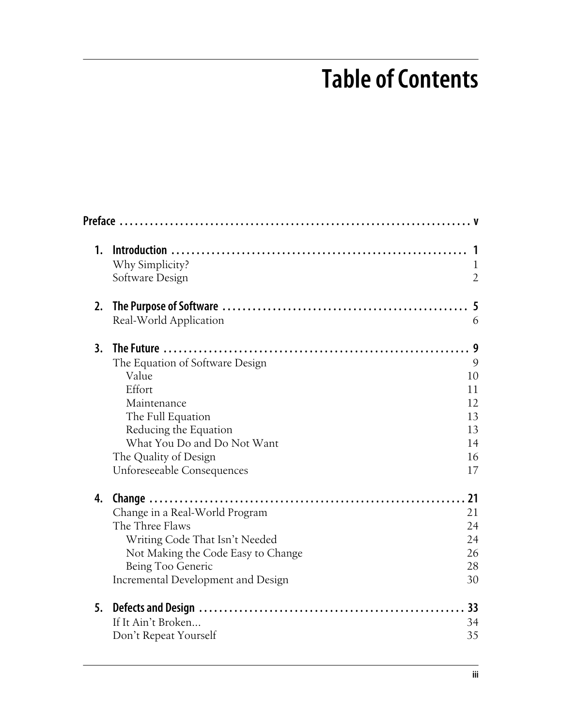# **Table of Contents**

| 1. | Why Simplicity?<br>Software Design                                                                                                                                                                    | 1<br>$\overline{2}$                                    |
|----|-------------------------------------------------------------------------------------------------------------------------------------------------------------------------------------------------------|--------------------------------------------------------|
| 2. | Real-World Application                                                                                                                                                                                | 5<br>6                                                 |
| 3. | The Equation of Software Design<br>Value<br>Effort<br>Maintenance<br>The Full Equation<br>Reducing the Equation<br>What You Do and Do Not Want<br>The Quality of Design<br>Unforeseeable Consequences | 9<br>9<br>10<br>11<br>12<br>13<br>13<br>14<br>16<br>17 |
| 4. | Change in a Real-World Program<br>The Three Flaws<br>Writing Code That Isn't Needed<br>Not Making the Code Easy to Change<br>Being Too Generic<br>Incremental Development and Design                  | 21<br>21<br>24<br>24<br>26<br>28<br>30                 |
| 5. | If It Ain't Broken<br>Don't Repeat Yourself                                                                                                                                                           | 33<br>34<br>35                                         |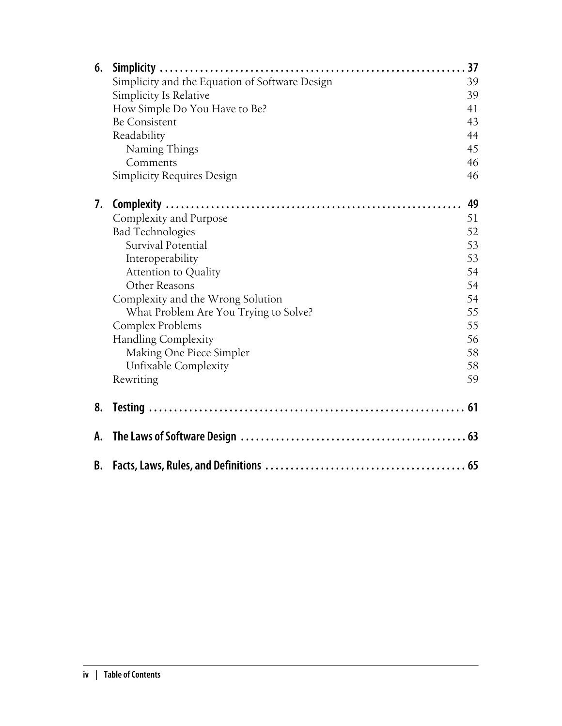| 6. |                                                | 37 |
|----|------------------------------------------------|----|
|    | Simplicity and the Equation of Software Design | 39 |
|    | Simplicity Is Relative                         | 39 |
|    | How Simple Do You Have to Be?                  | 41 |
|    | <b>Be Consistent</b>                           | 43 |
|    | Readability                                    | 44 |
|    | Naming Things                                  | 45 |
|    | Comments                                       | 46 |
|    | <b>Simplicity Requires Design</b>              | 46 |
| 7. |                                                | 49 |
|    | Complexity and Purpose                         | 51 |
|    | <b>Bad Technologies</b>                        | 52 |
|    | Survival Potential                             | 53 |
|    | Interoperability                               | 53 |
|    | Attention to Quality                           | 54 |
|    | Other Reasons                                  | 54 |
|    | Complexity and the Wrong Solution              | 54 |
|    | What Problem Are You Trying to Solve?          | 55 |
|    | Complex Problems                               | 55 |
|    | <b>Handling Complexity</b>                     | 56 |
|    | Making One Piece Simpler                       | 58 |
|    | Unfixable Complexity                           | 58 |
|    | Rewriting                                      | 59 |
| 8. |                                                |    |
| A. |                                                |    |
| B. |                                                |    |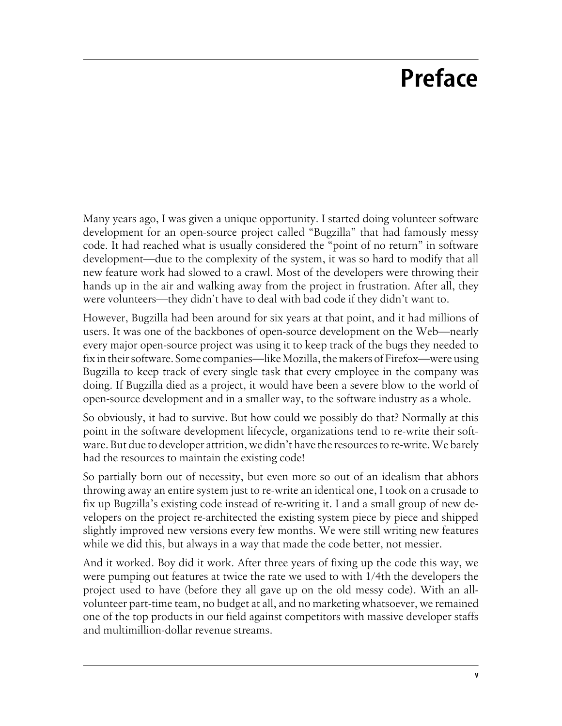# **Preface**

Many years ago, I was given a unique opportunity. I started doing volunteer software development for an open-source project called "Bugzilla" that had famously messy code. It had reached what is usually considered the "point of no return" in software development—due to the complexity of the system, it was so hard to modify that all new feature work had slowed to a crawl. Most of the developers were throwing their hands up in the air and walking away from the project in frustration. After all, they were volunteers—they didn't have to deal with bad code if they didn't want to.

However, Bugzilla had been around for six years at that point, and it had millions of users. It was one of the backbones of open-source development on the Web—nearly every major open-source project was using it to keep track of the bugs they needed to fix in their software. Some companies—like Mozilla, the makers of Firefox—were using Bugzilla to keep track of every single task that every employee in the company was doing. If Bugzilla died as a project, it would have been a severe blow to the world of open-source development and in a smaller way, to the software industry as a whole.

So obviously, it had to survive. But how could we possibly do that? Normally at this point in the software development lifecycle, organizations tend to re-write their software. But due to developer attrition, we didn't have the resources to re-write. We barely had the resources to maintain the existing code!

So partially born out of necessity, but even more so out of an idealism that abhors throwing away an entire system just to re-write an identical one, I took on a crusade to fix up Bugzilla's existing code instead of re-writing it. I and a small group of new developers on the project re-architected the existing system piece by piece and shipped slightly improved new versions every few months. We were still writing new features while we did this, but always in a way that made the code better, not messier.

And it worked. Boy did it work. After three years of fixing up the code this way, we were pumping out features at twice the rate we used to with 1/4th the developers the project used to have (before they all gave up on the old messy code). With an allvolunteer part-time team, no budget at all, and no marketing whatsoever, we remained one of the top products in our field against competitors with massive developer staffs and multimillion-dollar revenue streams.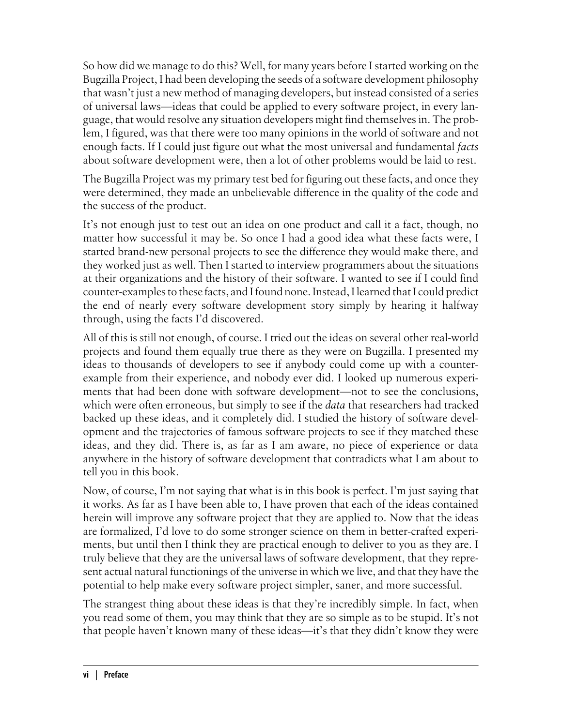So how did we manage to do this? Well, for many years before I started working on the Bugzilla Project, I had been developing the seeds of a software development philosophy that wasn't just a new method of managing developers, but instead consisted of a series of universal laws—ideas that could be applied to every software project, in every language, that would resolve any situation developers might find themselves in. The problem, I figured, was that there were too many opinions in the world of software and not enough facts. If I could just figure out what the most universal and fundamental facts about software development were, then a lot of other problems would be laid to rest.

The Bugzilla Project was my primary test bed for figuring out these facts, and once they were determined, they made an unbelievable difference in the quality of the code and the success of the product.

It's not enough just to test out an idea on one product and call it a fact, though, no matter how successful it may be. So once I had a good idea what these facts were, I started brand-new personal projects to see the difference they would make there, and they worked just as well. Then I started to interview programmers about the situations at their organizations and the history of their software. I wanted to see if I could find counter-examples to these facts, and I found none. Instead, I learned that I could predict the end of nearly every software development story simply by hearing it halfway through, using the facts I'd discovered.

All of this is still not enough, of course. I tried out the ideas on several other real-world projects and found them equally true there as they were on Bugzilla. I presented my ideas to thousands of developers to see if anybody could come up with a counterexample from their experience, and nobody ever did. I looked up numerous experiments that had been done with software development—not to see the conclusions, which were often erroneous, but simply to see if the *data* that researchers had tracked backed up these ideas, and it completely did. I studied the history of software development and the trajectories of famous software projects to see if they matched these ideas, and they did. There is, as far as I am aware, no piece of experience or data anywhere in the history of software development that contradicts what I am about to tell you in this book.

Now, of course, I'm not saying that what is in this book is perfect. I'm just saying that it works. As far as I have been able to, I have proven that each of the ideas contained herein will improve any software project that they are applied to. Now that the ideas are formalized, I'd love to do some stronger science on them in better-crafted experiments, but until then I think they are practical enough to deliver to you as they are. I truly believe that they are the universal laws of software development, that they represent actual natural functionings of the universe in which we live, and that they have the potential to help make every software project simpler, saner, and more successful.

The strangest thing about these ideas is that they're incredibly simple. In fact, when you read some of them, you may think that they are so simple as to be stupid. It's not that people haven't known many of these ideas—it's that they didn't know they were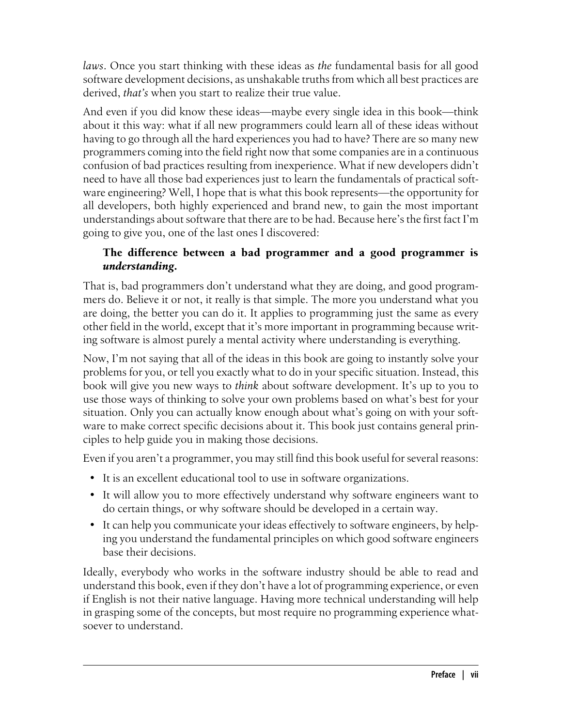laws. Once you start thinking with these ideas as the fundamental basis for all good software development decisions, as unshakable truths from which all best practices are derived, that's when you start to realize their true value.

And even if you did know these ideas—maybe every single idea in this book—think about it this way: what if all new programmers could learn all of these ideas without having to go through all the hard experiences you had to have? There are so many new programmers coming into the field right now that some companies are in a continuous confusion of bad practices resulting from inexperience. What if new developers didn't need to have all those bad experiences just to learn the fundamentals of practical software engineering? Well, I hope that is what this book represents—the opportunity for all developers, both highly experienced and brand new, to gain the most important understandings about software that there are to be had. Because here's the first fact I'm going to give you, one of the last ones I discovered:

#### The difference between a bad programmer and a good programmer is understanding.

That is, bad programmers don't understand what they are doing, and good programmers do. Believe it or not, it really is that simple. The more you understand what you are doing, the better you can do it. It applies to programming just the same as every other field in the world, except that it's more important in programming because writing software is almost purely a mental activity where understanding is everything.

Now, I'm not saying that all of the ideas in this book are going to instantly solve your problems for you, or tell you exactly what to do in your specific situation. Instead, this book will give you new ways to think about software development. It's up to you to use those ways of thinking to solve your own problems based on what's best for your situation. Only you can actually know enough about what's going on with your software to make correct specific decisions about it. This book just contains general principles to help guide you in making those decisions.

Even if you aren't a programmer, you may still find this book useful for several reasons:

- It is an excellent educational tool to use in software organizations.
- It will allow you to more effectively understand why software engineers want to do certain things, or why software should be developed in a certain way.
- It can help you communicate your ideas effectively to software engineers, by helping you understand the fundamental principles on which good software engineers base their decisions.

Ideally, everybody who works in the software industry should be able to read and understand this book, even if they don't have a lot of programming experience, or even if English is not their native language. Having more technical understanding will help in grasping some of the concepts, but most require no programming experience whatsoever to understand.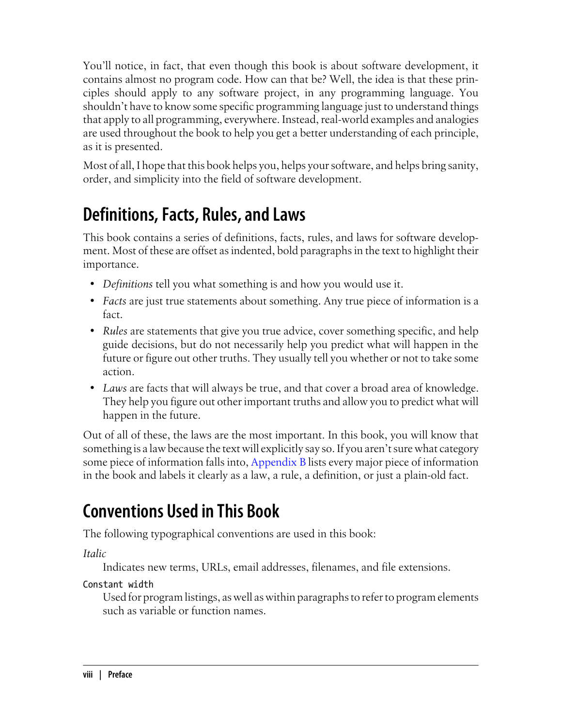You'll notice, in fact, that even though this book is about software development, it contains almost no program code. How can that be? Well, the idea is that these principles should apply to any software project, in any programming language. You shouldn't have to know some specific programming language just to understand things that apply to all programming, everywhere. Instead, real-world examples and analogies are used throughout the book to help you get a better understanding of each principle, as it is presented.

Most of all, I hope that this book helps you, helps your software, and helps bring sanity, order, and simplicity into the field of software development.

# **Definitions, Facts, Rules, and Laws**

This book contains a series of definitions, facts, rules, and laws for software development. Most of these are offset as indented, bold paragraphs in the text to highlight their importance.

- Definitions tell you what something is and how you would use it.
- Facts are just true statements about something. Any true piece of information is a fact.
- Rules are statements that give you true advice, cover something specific, and help guide decisions, but do not necessarily help you predict what will happen in the future or figure out other truths. They usually tell you whether or not to take some action.
- Laws are facts that will always be true, and that cover a broad area of knowledge. They help you figure out other important truths and allow you to predict what will happen in the future.

Out of all of these, the laws are the most important. In this book, you will know that something is a law because the text will explicitly say so. If you aren't sure what category some piece of information falls into, Appendix B lists every major piece of information in the book and labels it clearly as a law, a rule, a definition, or just a plain-old fact.

# **Conventions Used in This Book**

The following typographical conventions are used in this book:

Italic

Indicates new terms, URLs, email addresses, filenames, and file extensions.

### Constant width

Used for program listings, as well as within paragraphs to refer to program elements such as variable or function names.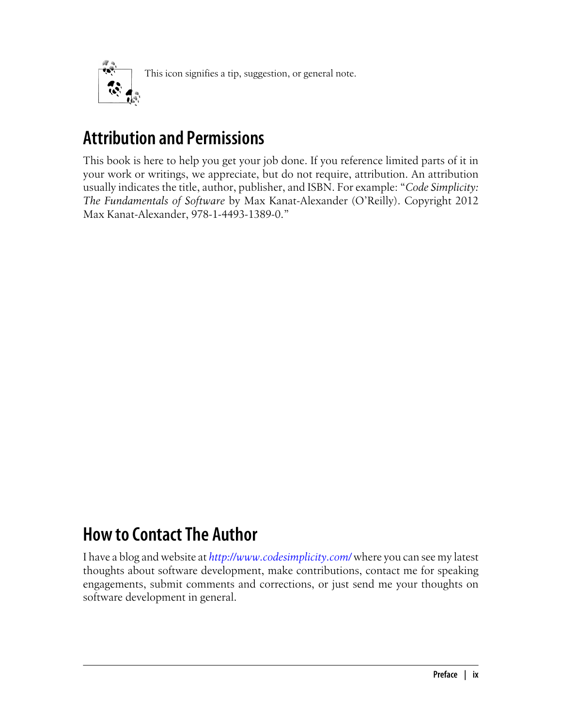

This icon signifies a tip, suggestion, or general note.

# **Attribution and Permissions**

This book is here to help you get your job done. If you reference limited parts of it in your work or writings, we appreciate, but do not require, attribution. An attribution usually indicates the title, author, publisher, and ISBN. For example: "Code Simplicity: The Fundamentals of Software by Max Kanat-Alexander (O'Reilly). Copyright 2012 Max Kanat-Alexander, 978-1-4493-1389-0."

## **How to Contact The Author**

I have a blog and website at http://www.codesimplicity.com/ where you can see my latest thoughts about software development, make contributions, contact me for speaking engagements, submit comments and corrections, or just send me your thoughts on software development in general.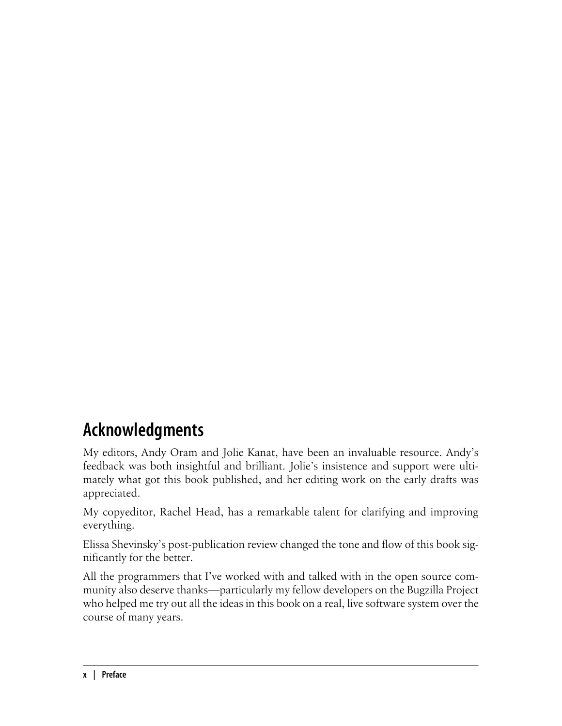# **Acknowledgments**

My editors, Andy Oram and Jolie Kanat, have been an invaluable resource. Andy's feedback was both insightful and brilliant. Jolie's insistence and support were ultimately what got this book published, and her editing work on the early drafts was appreciated.

My copyeditor, Rachel Head, has a remarkable talent for clarifying and improving everything.

Elissa Shevinsky's post-publication review changed the tone and flow of this book significantly for the better.

All the programmers that I've worked with and talked with in the open source community also deserve thanks—particularly my fellow developers on the Bugzilla Project who helped me try out all the ideas in this book on a real, live software system over the course of many years.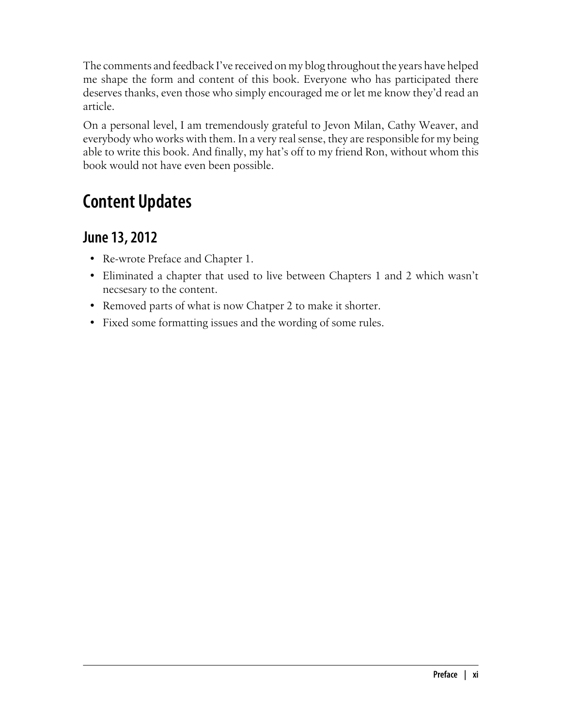The comments and feedback I've received on my blog throughout the years have helped me shape the form and content of this book. Everyone who has participated there deserves thanks, even those who simply encouraged me or let me know they'd read an article.

On a personal level, I am tremendously grateful to Jevon Milan, Cathy Weaver, and everybody who works with them. In a very real sense, they are responsible for my being able to write this book. And finally, my hat's off to my friend Ron, without whom this book would not have even been possible.

# **Content Updates**

### **June 13, 2012**

- Re-wrote Preface and Chapter 1.
- Eliminated a chapter that used to live between Chapters 1 and 2 which wasn't necsesary to the content.
- Removed parts of what is now Chatper 2 to make it shorter.
- Fixed some formatting issues and the wording of some rules.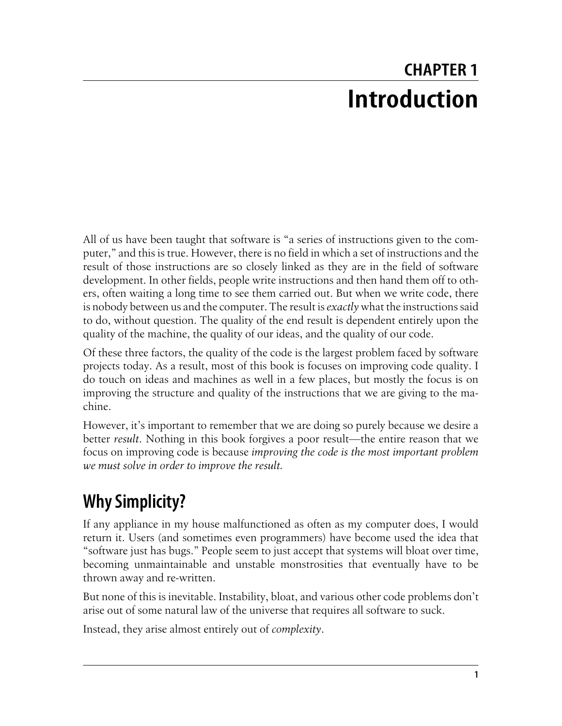# **CHAPTER 1 Introduction**

All of us have been taught that software is "a series of instructions given to the computer," and this is true. However, there is no field in which a set of instructions and the result of those instructions are so closely linked as they are in the field of software development. In other fields, people write instructions and then hand them off to others, often waiting a long time to see them carried out. But when we write code, there is nobody between us and the computer. The result is *exactly* what the instructions said to do, without question. The quality of the end result is dependent entirely upon the quality of the machine, the quality of our ideas, and the quality of our code.

Of these three factors, the quality of the code is the largest problem faced by software projects today. As a result, most of this book is focuses on improving code quality. I do touch on ideas and machines as well in a few places, but mostly the focus is on improving the structure and quality of the instructions that we are giving to the machine.

However, it's important to remember that we are doing so purely because we desire a better result. Nothing in this book forgives a poor result—the entire reason that we focus on improving code is because improving the code is the most important problem we must solve in order to improve the result.

# **Why Simplicity?**

If any appliance in my house malfunctioned as often as my computer does, I would return it. Users (and sometimes even programmers) have become used the idea that "software just has bugs." People seem to just accept that systems will bloat over time, becoming unmaintainable and unstable monstrosities that eventually have to be thrown away and re-written.

But none of this is inevitable. Instability, bloat, and various other code problems don't arise out of some natural law of the universe that requires all software to suck.

Instead, they arise almost entirely out of complexity.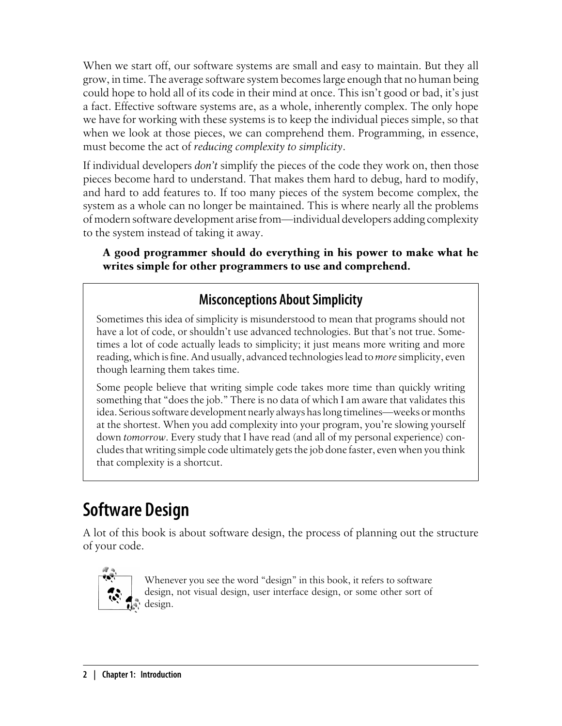When we start off, our software systems are small and easy to maintain. But they all grow, in time. The average software system becomes large enough that no human being could hope to hold all of its code in their mind at once. This isn't good or bad, it's just a fact. Effective software systems are, as a whole, inherently complex. The only hope we have for working with these systems is to keep the individual pieces simple, so that when we look at those pieces, we can comprehend them. Programming, in essence, must become the act of reducing complexity to simplicity.

If individual developers *don't* simplify the pieces of the code they work on, then those pieces become hard to understand. That makes them hard to debug, hard to modify, and hard to add features to. If too many pieces of the system become complex, the system as a whole can no longer be maintained. This is where nearly all the problems of modern software development arise from—individual developers adding complexity to the system instead of taking it away.

A good programmer should do everything in his power to make what he writes simple for other programmers to use and comprehend.

### **Misconceptions About Simplicity**

Sometimes this idea of simplicity is misunderstood to mean that programs should not have a lot of code, or shouldn't use advanced technologies. But that's not true. Sometimes a lot of code actually leads to simplicity; it just means more writing and more reading, which is fine. And usually, advanced technologies lead to more simplicity, even though learning them takes time.

Some people believe that writing simple code takes more time than quickly writing something that "does the job." There is no data of which I am aware that validates this idea. Serious software development nearly always has long timelines—weeks or months at the shortest. When you add complexity into your program, you're slowing yourself down tomorrow. Every study that I have read (and all of my personal experience) concludes that writing simple code ultimately gets the job done faster, even when you think that complexity is a shortcut.

# **Software Design**

A lot of this book is about software design, the process of planning out the structure of your code.



Whenever you see the word "design" in this book, it refers to software design, not visual design, user interface design, or some other sort of design.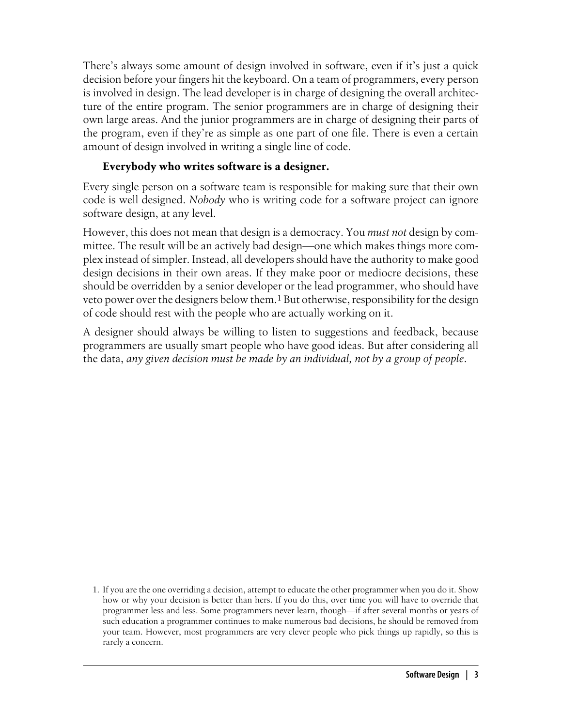There's always some amount of design involved in software, even if it's just a quick decision before your fingers hit the keyboard. On a team of programmers, every person is involved in design. The lead developer is in charge of designing the overall architecture of the entire program. The senior programmers are in charge of designing their own large areas. And the junior programmers are in charge of designing their parts of the program, even if they're as simple as one part of one file. There is even a certain amount of design involved in writing a single line of code.

#### Everybody who writes software is a designer.

Every single person on a software team is responsible for making sure that their own code is well designed. Nobody who is writing code for a software project can ignore software design, at any level.

However, this does not mean that design is a democracy. You *must not* design by committee. The result will be an actively bad design—one which makes things more complex instead of simpler. Instead, all developers should have the authority to make good design decisions in their own areas. If they make poor or mediocre decisions, these should be overridden by a senior developer or the lead programmer, who should have veto power over the designers below them.<sup>1</sup> But otherwise, responsibility for the design of code should rest with the people who are actually working on it.

A designer should always be willing to listen to suggestions and feedback, because programmers are usually smart people who have good ideas. But after considering all the data, any given decision must be made by an individual, not by a group of people.

<sup>1.</sup> If you are the one overriding a decision, attempt to educate the other programmer when you do it. Show how or why your decision is better than hers. If you do this, over time you will have to override that programmer less and less. Some programmers never learn, though—if after several months or years of such education a programmer continues to make numerous bad decisions, he should be removed from your team. However, most programmers are very clever people who pick things up rapidly, so this is rarely a concern.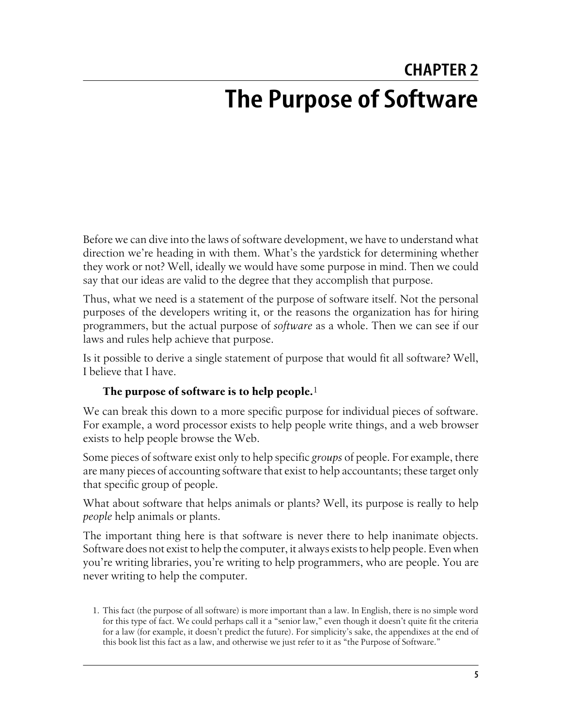# **CHAPTER 2 The Purpose of Software**

Before we can dive into the laws of software development, we have to understand what direction we're heading in with them. What's the yardstick for determining whether they work or not? Well, ideally we would have some purpose in mind. Then we could say that our ideas are valid to the degree that they accomplish that purpose.

Thus, what we need is a statement of the purpose of software itself. Not the personal purposes of the developers writing it, or the reasons the organization has for hiring programmers, but the actual purpose of software as a whole. Then we can see if our laws and rules help achieve that purpose.

Is it possible to derive a single statement of purpose that would fit all software? Well, I believe that I have.

### The purpose of software is to help people.<sup>1</sup>

We can break this down to a more specific purpose for individual pieces of software. For example, a word processor exists to help people write things, and a web browser exists to help people browse the Web.

Some pieces of software exist only to help specific groups of people. For example, there are many pieces of accounting software that exist to help accountants; these target only that specific group of people.

What about software that helps animals or plants? Well, its purpose is really to help people help animals or plants.

The important thing here is that software is never there to help inanimate objects. Software does not exist to help the computer, it always exists to help people. Even when you're writing libraries, you're writing to help programmers, who are people. You are never writing to help the computer.

<sup>1.</sup> This fact (the purpose of all software) is more important than a law. In English, there is no simple word for this type of fact. We could perhaps call it a "senior law," even though it doesn't quite fit the criteria for a law (for example, it doesn't predict the future). For simplicity's sake, the appendixes at the end of this book list this fact as a law, and otherwise we just refer to it as "the Purpose of Software."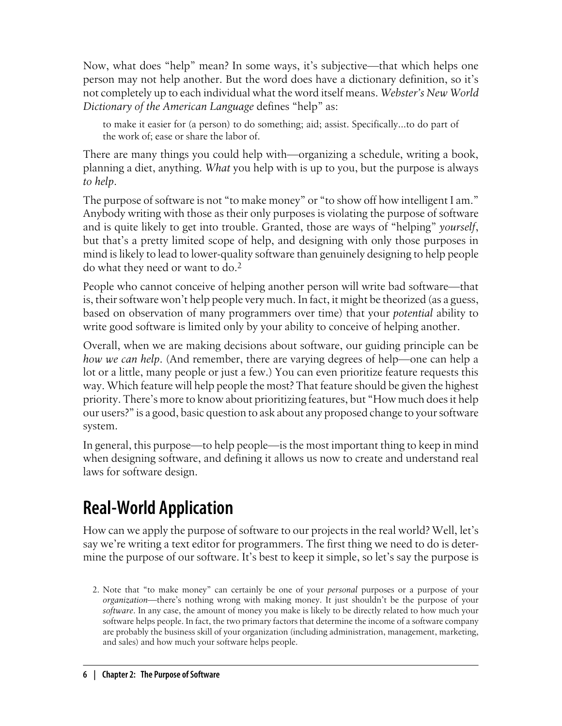Now, what does "help" mean? In some ways, it's subjective—that which helps one person may not help another. But the word does have a dictionary definition, so it's not completely up to each individual what the word itself means. Webster's New World Dictionary of the American Language defines "help" as:

to make it easier for (a person) to do something; aid; assist. Specifically...to do part of the work of; ease or share the labor of.

There are many things you could help with—organizing a schedule, writing a book, planning a diet, anything. What you help with is up to you, but the purpose is always to help.

The purpose of software is not "to make money" or "to show off how intelligent I am." Anybody writing with those as their only purposes is violating the purpose of software and is quite likely to get into trouble. Granted, those are ways of "helping" yourself, but that's a pretty limited scope of help, and designing with only those purposes in mind is likely to lead to lower-quality software than genuinely designing to help people do what they need or want to do.2

People who cannot conceive of helping another person will write bad software—that is, their software won't help people very much. In fact, it might be theorized (as a guess, based on observation of many programmers over time) that your potential ability to write good software is limited only by your ability to conceive of helping another.

Overall, when we are making decisions about software, our guiding principle can be how we can help. (And remember, there are varying degrees of help—one can help a lot or a little, many people or just a few.) You can even prioritize feature requests this way. Which feature will help people the most? That feature should be given the highest priority. There's more to know about prioritizing features, but "How much does it help our users?" is a good, basic question to ask about any proposed change to your software system.

In general, this purpose—to help people—is the most important thing to keep in mind when designing software, and defining it allows us now to create and understand real laws for software design.

# **Real-World Application**

How can we apply the purpose of software to our projects in the real world? Well, let's say we're writing a text editor for programmers. The first thing we need to do is determine the purpose of our software. It's best to keep it simple, so let's say the purpose is

2. Note that "to make money" can certainly be one of your personal purposes or a purpose of your organization—there's nothing wrong with making money. It just shouldn't be the purpose of your software. In any case, the amount of money you make is likely to be directly related to how much your software helps people. In fact, the two primary factors that determine the income of a software company are probably the business skill of your organization (including administration, management, marketing, and sales) and how much your software helps people.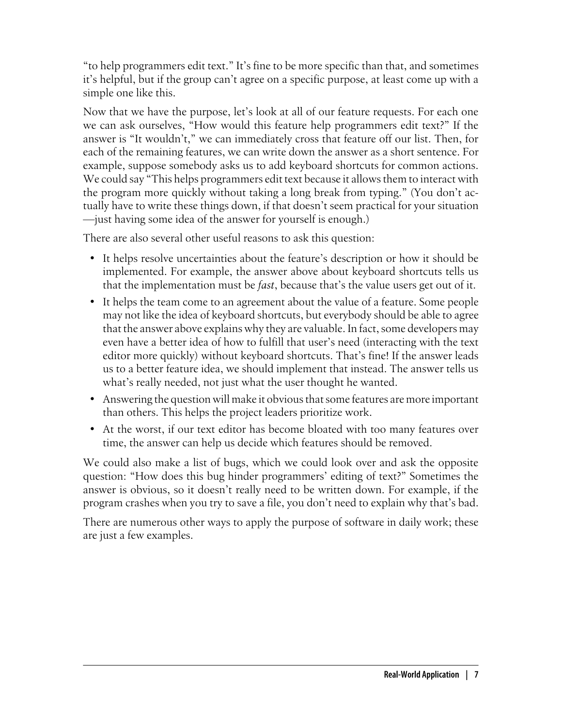"to help programmers edit text." It's fine to be more specific than that, and sometimes it's helpful, but if the group can't agree on a specific purpose, at least come up with a simple one like this.

Now that we have the purpose, let's look at all of our feature requests. For each one we can ask ourselves, "How would this feature help programmers edit text?" If the answer is "It wouldn't," we can immediately cross that feature off our list. Then, for each of the remaining features, we can write down the answer as a short sentence. For example, suppose somebody asks us to add keyboard shortcuts for common actions. We could say "This helps programmers edit text because it allows them to interact with the program more quickly without taking a long break from typing." (You don't actually have to write these things down, if that doesn't seem practical for your situation —just having some idea of the answer for yourself is enough.)

There are also several other useful reasons to ask this question:

- It helps resolve uncertainties about the feature's description or how it should be implemented. For example, the answer above about keyboard shortcuts tells us that the implementation must be *fast*, because that's the value users get out of it.
- It helps the team come to an agreement about the value of a feature. Some people may not like the idea of keyboard shortcuts, but everybody should be able to agree that the answer above explains why they are valuable. In fact, some developers may even have a better idea of how to fulfill that user's need (interacting with the text editor more quickly) without keyboard shortcuts. That's fine! If the answer leads us to a better feature idea, we should implement that instead. The answer tells us what's really needed, not just what the user thought he wanted.
- Answering the question will make it obvious that some features are more important than others. This helps the project leaders prioritize work.
- At the worst, if our text editor has become bloated with too many features over time, the answer can help us decide which features should be removed.

We could also make a list of bugs, which we could look over and ask the opposite question: "How does this bug hinder programmers' editing of text?" Sometimes the answer is obvious, so it doesn't really need to be written down. For example, if the program crashes when you try to save a file, you don't need to explain why that's bad.

There are numerous other ways to apply the purpose of software in daily work; these are just a few examples.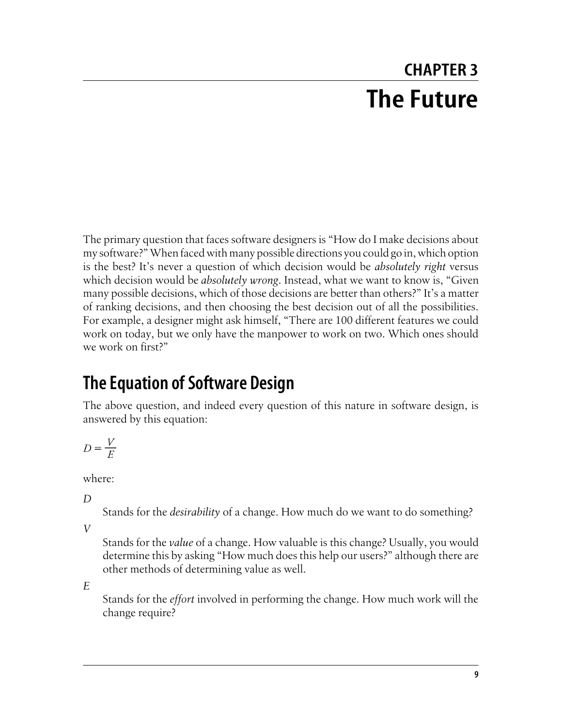# **CHAPTER 3 The Future**

The primary question that faces software designers is "How do I make decisions about my software?" When faced with many possible directions you could go in, which option is the best? It's never a question of which decision would be *absolutely right* versus which decision would be *absolutely wrong*. Instead, what we want to know is, "Given" many possible decisions, which of those decisions are better than others?" It's a matter of ranking decisions, and then choosing the best decision out of all the possibilities. For example, a designer might ask himself, "There are 100 different features we could work on today, but we only have the manpower to work on two. Which ones should we work on first?"

# **The Equation of Software Design**

The above question, and indeed every question of this nature in software design, is answered by this equation:

$$
D = \frac{V}{E}
$$

where:

D

Stands for the desirability of a change. How much do we want to do something?

V

Stands for the value of a change. How valuable is this change? Usually, you would determine this by asking "How much does this help our users?" although there are other methods of determining value as well.

E

Stands for the effort involved in performing the change. How much work will the change require?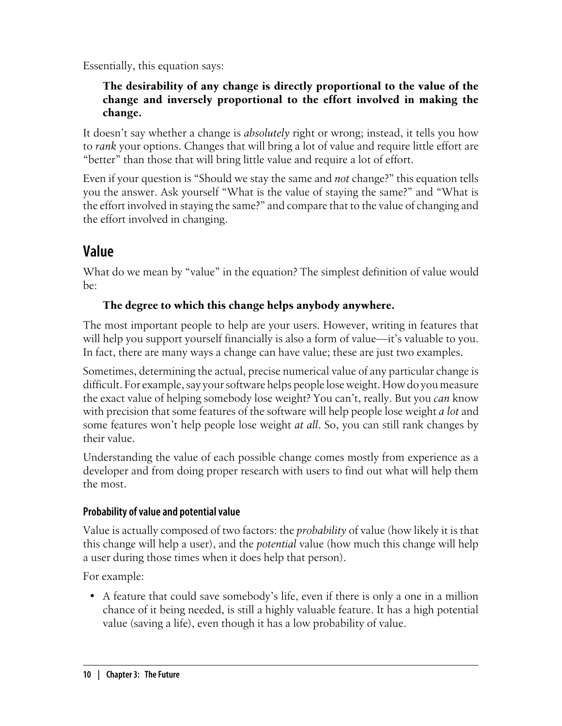Essentially, this equation says:

### The desirability of any change is directly proportional to the value of the change and inversely proportional to the effort involved in making the change.

It doesn't say whether a change is *absolutely* right or wrong; instead, it tells you how to rank your options. Changes that will bring a lot of value and require little effort are "better" than those that will bring little value and require a lot of effort.

Even if your question is "Should we stay the same and not change?" this equation tells you the answer. Ask yourself "What is the value of staying the same?" and "What is the effort involved in staying the same?" and compare that to the value of changing and the effort involved in changing.

### **Value**

What do we mean by "value" in the equation? The simplest definition of value would be:

### The degree to which this change helps anybody anywhere.

The most important people to help are your users. However, writing in features that will help you support yourself financially is also a form of value—it's valuable to you. In fact, there are many ways a change can have value; these are just two examples.

Sometimes, determining the actual, precise numerical value of any particular change is difficult. For example, say your software helps people lose weight. How do you measure the exact value of helping somebody lose weight? You can't, really. But you can know with precision that some features of the software will help people lose weight a lot and some features won't help people lose weight *at all*. So, you can still rank changes by their value.

Understanding the value of each possible change comes mostly from experience as a developer and from doing proper research with users to find out what will help them the most.

### **Probability of value and potential value**

Value is actually composed of two factors: the probability of value (how likely it is that this change will help a user), and the *potential* value (how much this change will help a user during those times when it does help that person).

For example:

• A feature that could save somebody's life, even if there is only a one in a million chance of it being needed, is still a highly valuable feature. It has a high potential value (saving a life), even though it has a low probability of value.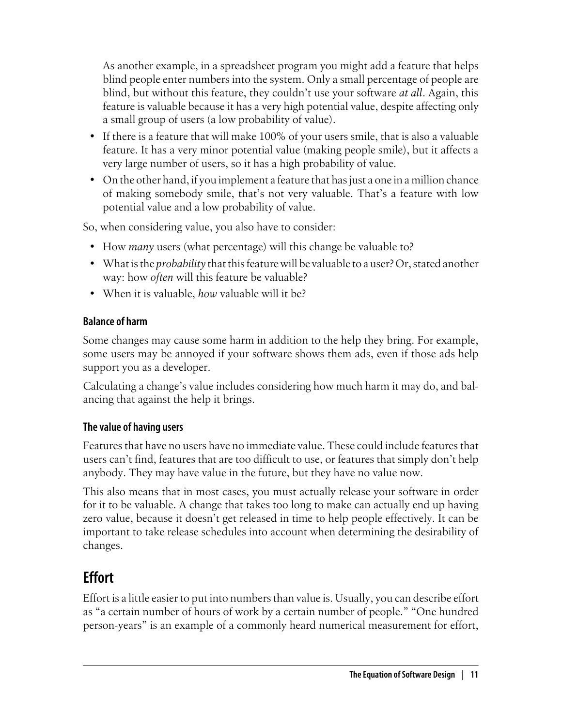As another example, in a spreadsheet program you might add a feature that helps blind people enter numbers into the system. Only a small percentage of people are blind, but without this feature, they couldn't use your software *at all*. Again, this feature is valuable because it has a very high potential value, despite affecting only a small group of users (a low probability of value).

- If there is a feature that will make 100% of your users smile, that is also a valuable feature. It has a very minor potential value (making people smile), but it affects a very large number of users, so it has a high probability of value.
- On the other hand, if you implement a feature that has just a one in a million chance of making somebody smile, that's not very valuable. That's a feature with low potential value and a low probability of value.

So, when considering value, you also have to consider:

- How *many* users (what percentage) will this change be valuable to?
- What is the *probability* that this feature will be valuable to a user? Or, stated another way: how *often* will this feature be valuable?
- When it is valuable, *how* valuable will it be?

### **Balance of harm**

Some changes may cause some harm in addition to the help they bring. For example, some users may be annoyed if your software shows them ads, even if those ads help support you as a developer.

Calculating a change's value includes considering how much harm it may do, and balancing that against the help it brings.

### **The value of having users**

Features that have no users have no immediate value. These could include features that users can't find, features that are too difficult to use, or features that simply don't help anybody. They may have value in the future, but they have no value now.

This also means that in most cases, you must actually release your software in order for it to be valuable. A change that takes too long to make can actually end up having zero value, because it doesn't get released in time to help people effectively. It can be important to take release schedules into account when determining the desirability of changes.

### **Effort**

Effort is a little easier to put into numbers than value is. Usually, you can describe effort as "a certain number of hours of work by a certain number of people." "One hundred person-years" is an example of a commonly heard numerical measurement for effort,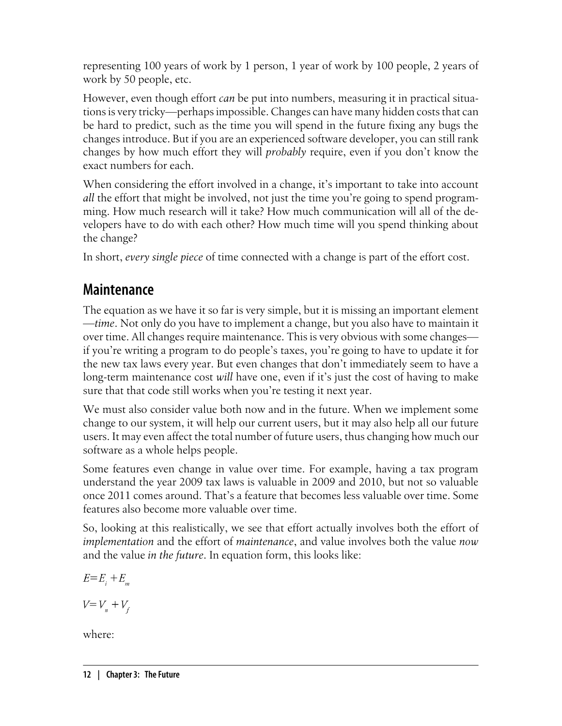representing 100 years of work by 1 person, 1 year of work by 100 people, 2 years of work by 50 people, etc.

However, even though effort *can* be put into numbers, measuring it in practical situations is very tricky—perhaps impossible. Changes can have many hidden costs that can be hard to predict, such as the time you will spend in the future fixing any bugs the changes introduce. But if you are an experienced software developer, you can still rank changes by how much effort they will probably require, even if you don't know the exact numbers for each.

When considering the effort involved in a change, it's important to take into account all the effort that might be involved, not just the time you're going to spend programming. How much research will it take? How much communication will all of the developers have to do with each other? How much time will you spend thinking about the change?

In short, every single piece of time connected with a change is part of the effort cost.

### **Maintenance**

The equation as we have it so far is very simple, but it is missing an important element —time. Not only do you have to implement a change, but you also have to maintain it over time. All changes require maintenance. This is very obvious with some changes if you're writing a program to do people's taxes, you're going to have to update it for the new tax laws every year. But even changes that don't immediately seem to have a long-term maintenance cost will have one, even if it's just the cost of having to make sure that that code still works when you're testing it next year.

We must also consider value both now and in the future. When we implement some change to our system, it will help our current users, but it may also help all our future users. It may even affect the total number of future users, thus changing how much our software as a whole helps people.

Some features even change in value over time. For example, having a tax program understand the year 2009 tax laws is valuable in 2009 and 2010, but not so valuable once 2011 comes around. That's a feature that becomes less valuable over time. Some features also become more valuable over time.

So, looking at this realistically, we see that effort actually involves both the effort of implementation and the effort of maintenance, and value involves both the value now and the value in the future. In equation form, this looks like:

$$
E = E_{i} + E_{n}
$$

 $V = V_{n} + V_{f}$ 

where: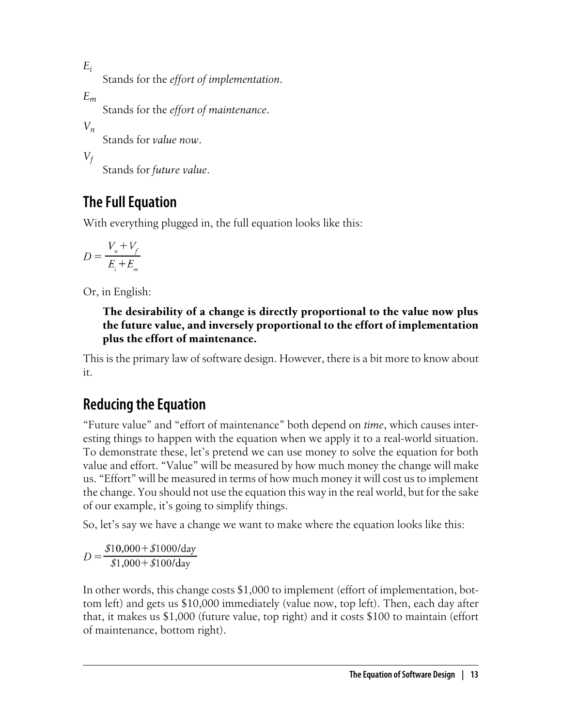$E_i$ 

Stands for the effort of implementation.

 $E_m$ 

Stands for the effort of maintenance.

 $V_n$ 

Stands for value now.

 $V_f$ 

Stands for future value.

### **The Full Equation**

With everything plugged in, the full equation looks like this:

$$
D = \frac{V_n + V_f}{E_i + E_m}
$$

Or, in English:

### The desirability of a change is directly proportional to the value now plus the future value, and inversely proportional to the effort of implementation plus the effort of maintenance.

This is the primary law of software design. However, there is a bit more to know about it.

### **Reducing the Equation**

"Future value" and "effort of maintenance" both depend on time, which causes interesting things to happen with the equation when we apply it to a real-world situation. To demonstrate these, let's pretend we can use money to solve the equation for both value and effort. "Value" will be measured by how much money the change will make us. "Effort" will be measured in terms of how much money it will cost us to implement the change. You should not use the equation this way in the real world, but for the sake of our example, it's going to simplify things.

So, let's say we have a change we want to make where the equation looks like this:

 $D = \frac{$10,000 + $1000/day}{$1,000 + $100/day}$ 

In other words, this change costs \$1,000 to implement (effort of implementation, bottom left) and gets us \$10,000 immediately (value now, top left). Then, each day after that, it makes us \$1,000 (future value, top right) and it costs \$100 to maintain (effort of maintenance, bottom right).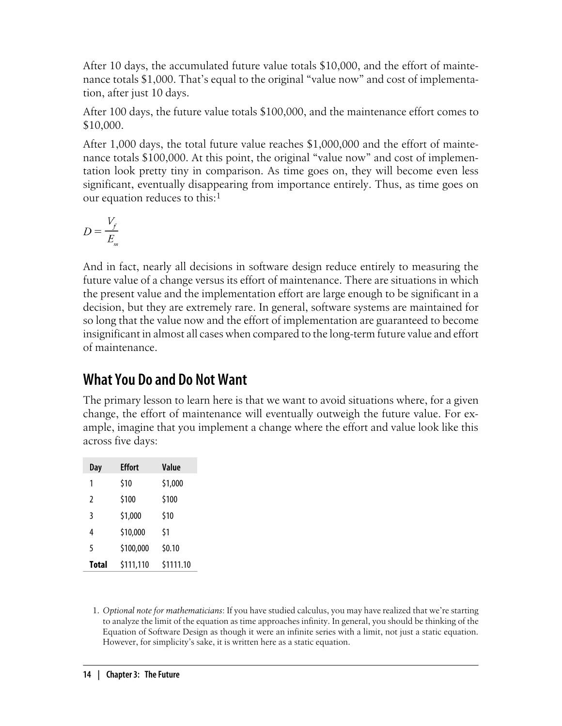After 10 days, the accumulated future value totals \$10,000, and the effort of maintenance totals \$1,000. That's equal to the original "value now" and cost of implementation, after just 10 days.

After 100 days, the future value totals \$100,000, and the maintenance effort comes to \$10,000.

After 1,000 days, the total future value reaches \$1,000,000 and the effort of maintenance totals \$100,000. At this point, the original "value now" and cost of implementation look pretty tiny in comparison. As time goes on, they will become even less significant, eventually disappearing from importance entirely. Thus, as time goes on our equation reduces to this:1

$$
D = \frac{V_f}{E_m}
$$

And in fact, nearly all decisions in software design reduce entirely to measuring the future value of a change versus its effort of maintenance. There are situations in which the present value and the implementation effort are large enough to be significant in a decision, but they are extremely rare. In general, software systems are maintained for so long that the value now and the effort of implementation are guaranteed to become insignificant in almost all cases when compared to the long-term future value and effort of maintenance.

### **What You Do and Do Not Want**

The primary lesson to learn here is that we want to avoid situations where, for a given change, the effort of maintenance will eventually outweigh the future value. For example, imagine that you implement a change where the effort and value look like this across five days:

| Day          | Effort    | Value     |  |
|--------------|-----------|-----------|--|
| 1            | \$10      | \$1,000   |  |
| <sup>2</sup> | \$100     | \$100     |  |
| 3            | \$1,000   | \$10      |  |
| 4            | \$10,000  | \$1       |  |
| 5            | \$100,000 | \$0.10    |  |
| <b>Total</b> | \$111,110 | \$1111.10 |  |

1. Optional note for mathematicians: If you have studied calculus, you may have realized that we're starting to analyze the limit of the equation as time approaches infinity. In general, you should be thinking of the Equation of Software Design as though it were an infinite series with a limit, not just a static equation. However, for simplicity's sake, it is written here as a static equation.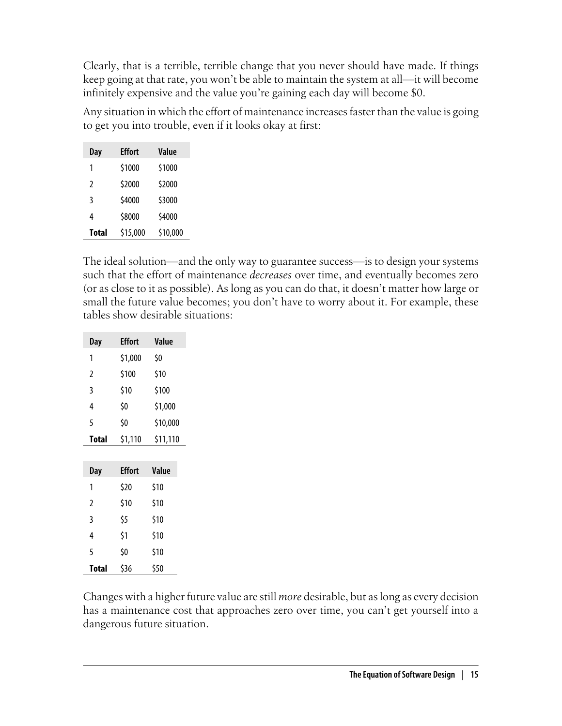Clearly, that is a terrible, terrible change that you never should have made. If things keep going at that rate, you won't be able to maintain the system at all—it will become infinitely expensive and the value you're gaining each day will become \$0.

Any situation in which the effort of maintenance increases faster than the value is going to get you into trouble, even if it looks okay at first:

| Day   | Effort   | Value    |  |
|-------|----------|----------|--|
| 1     | \$1000   | \$1000   |  |
| 2     | \$2000   | \$2000   |  |
| 3     | \$4000   | \$3000   |  |
| 4     | \$8000   | \$4000   |  |
| Total | \$15,000 | \$10,000 |  |

The ideal solution—and the only way to guarantee success—is to design your systems such that the effort of maintenance *decreases* over time, and eventually becomes zero (or as close to it as possible). As long as you can do that, it doesn't matter how large or small the future value becomes; you don't have to worry about it. For example, these tables show desirable situations:

| Day   | Effort  | Value    |  |
|-------|---------|----------|--|
| 1     | \$1,000 | \$0      |  |
| λ     | \$100   | \$10     |  |
| 3     | \$10    | \$100    |  |
| 4     | \$0     | \$1,000  |  |
| 5     | \$0     | \$10,000 |  |
| Total | \$1,110 | \$11,110 |  |
|       |         |          |  |

| Day   | Effort | Value |  |
|-------|--------|-------|--|
| 1     | \$20   | \$10  |  |
| 2     | \$10   | \$10  |  |
| 3     | \$5    | \$10  |  |
| 4     | \$1    | \$10  |  |
| 5     | \$0    | \$10  |  |
| Total | \$36   | \$50  |  |

Changes with a higher future value are still more desirable, but as long as every decision has a maintenance cost that approaches zero over time, you can't get yourself into a dangerous future situation.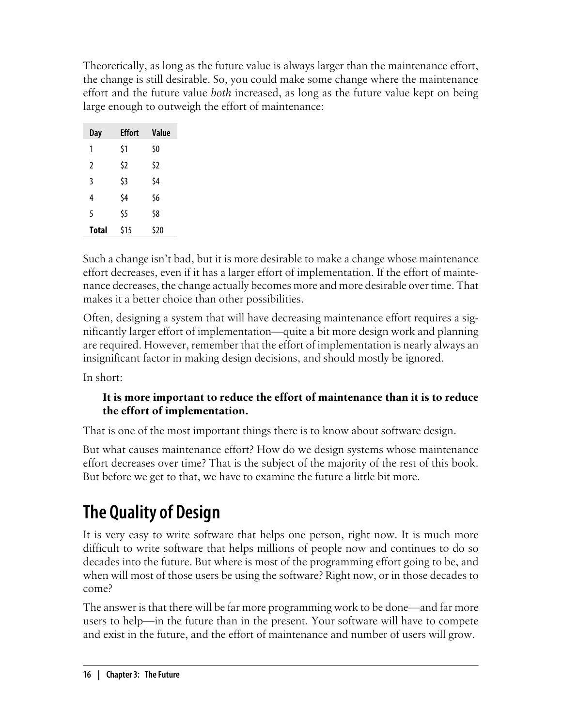Theoretically, as long as the future value is always larger than the maintenance effort, the change is still desirable. So, you could make some change where the maintenance effort and the future value both increased, as long as the future value kept on being large enough to outweigh the effort of maintenance:

| Day          | Effort       | Value |  |
|--------------|--------------|-------|--|
| 1            | \$1          | \$0   |  |
| 2            | \$2          | \$2   |  |
| 3            | \$3          | \$4   |  |
| 4            | \$4          | \$6   |  |
| 5            | \$5          | \$8   |  |
| <b>Total</b> | \$15<br>\$20 |       |  |

Such a change isn't bad, but it is more desirable to make a change whose maintenance effort decreases, even if it has a larger effort of implementation. If the effort of maintenance decreases, the change actually becomes more and more desirable over time. That makes it a better choice than other possibilities.

Often, designing a system that will have decreasing maintenance effort requires a significantly larger effort of implementation—quite a bit more design work and planning are required. However, remember that the effort of implementation is nearly always an insignificant factor in making design decisions, and should mostly be ignored.

In short:

### It is more important to reduce the effort of maintenance than it is to reduce the effort of implementation.

That is one of the most important things there is to know about software design.

But what causes maintenance effort? How do we design systems whose maintenance effort decreases over time? That is the subject of the majority of the rest of this book. But before we get to that, we have to examine the future a little bit more.

# **The Quality of Design**

It is very easy to write software that helps one person, right now. It is much more difficult to write software that helps millions of people now and continues to do so decades into the future. But where is most of the programming effort going to be, and when will most of those users be using the software? Right now, or in those decades to come?

The answer is that there will be far more programming work to be done—and far more users to help—in the future than in the present. Your software will have to compete and exist in the future, and the effort of maintenance and number of users will grow.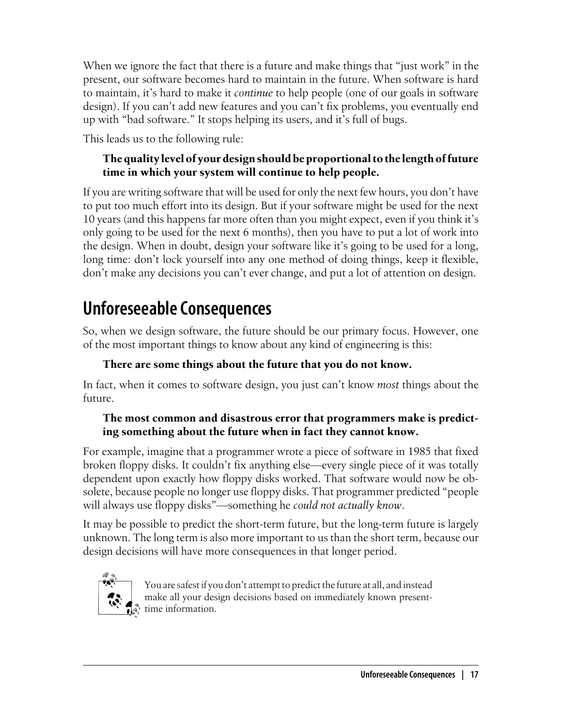When we ignore the fact that there is a future and make things that "just work" in the present, our software becomes hard to maintain in the future. When software is hard to maintain, it's hard to make it continue to help people (one of our goals in software design). If you can't add new features and you can't fix problems, you eventually end up with "bad software." It stops helping its users, and it's full of bugs.

This leads us to the following rule:

### The quality level of your design should be proportional to the length of future time in which your system will continue to help people.

If you are writing software that will be used for only the next few hours, you don't have to put too much effort into its design. But if your software might be used for the next 10 years (and this happens far more often than you might expect, even if you think it's only going to be used for the next 6 months), then you have to put a lot of work into the design. When in doubt, design your software like it's going to be used for a long, long time: don't lock yourself into any one method of doing things, keep it flexible, don't make any decisions you can't ever change, and put a lot of attention on design.

## **Unforeseeable Consequences**

So, when we design software, the future should be our primary focus. However, one of the most important things to know about any kind of engineering is this:

### There are some things about the future that you do not know.

In fact, when it comes to software design, you just can't know *most* things about the future.

### The most common and disastrous error that programmers make is predicting something about the future when in fact they cannot know.

For example, imagine that a programmer wrote a piece of software in 1985 that fixed broken floppy disks. It couldn't fix anything else—every single piece of it was totally dependent upon exactly how floppy disks worked. That software would now be obsolete, because people no longer use floppy disks. That programmer predicted "people will always use floppy disks"—something he *could not actually know*.

It may be possible to predict the short-term future, but the long-term future is largely unknown. The long term is also more important to us than the short term, because our design decisions will have more consequences in that longer period.



You are safest if you don't attempt to predict the future at all, and instead make all your design decisions based on immediately known present- $\vec{w}$  time information.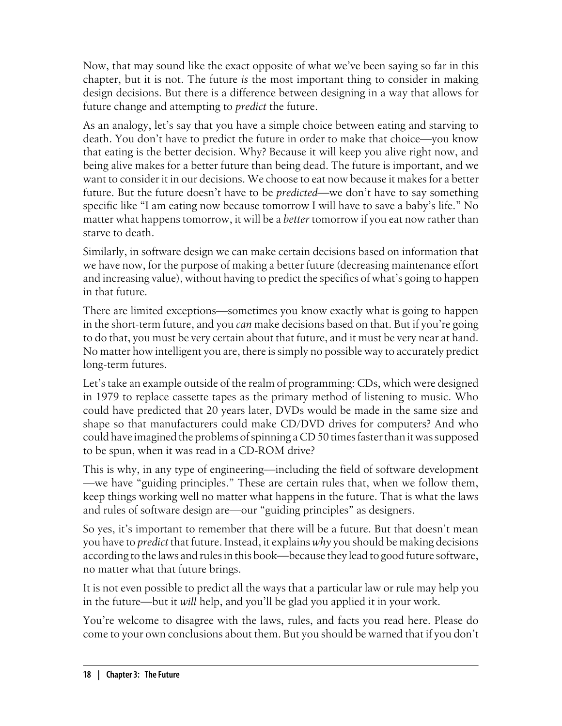Now, that may sound like the exact opposite of what we've been saying so far in this chapter, but it is not. The future is the most important thing to consider in making design decisions. But there is a difference between designing in a way that allows for future change and attempting to *predict* the future.

As an analogy, let's say that you have a simple choice between eating and starving to death. You don't have to predict the future in order to make that choice—you know that eating is the better decision. Why? Because it will keep you alive right now, and being alive makes for a better future than being dead. The future is important, and we want to consider it in our decisions. We choose to eat now because it makes for a better future. But the future doesn't have to be *predicted*—we don't have to say something specific like "I am eating now because tomorrow I will have to save a baby's life." No matter what happens tomorrow, it will be a *better* tomorrow if you eat now rather than starve to death.

Similarly, in software design we can make certain decisions based on information that we have now, for the purpose of making a better future (decreasing maintenance effort and increasing value), without having to predict the specifics of what's going to happen in that future.

There are limited exceptions—sometimes you know exactly what is going to happen in the short-term future, and you *can* make decisions based on that. But if you're going to do that, you must be very certain about that future, and it must be very near at hand. No matter how intelligent you are, there is simply no possible way to accurately predict long-term futures.

Let's take an example outside of the realm of programming: CDs, which were designed in 1979 to replace cassette tapes as the primary method of listening to music. Who could have predicted that 20 years later, DVDs would be made in the same size and shape so that manufacturers could make CD/DVD drives for computers? And who could have imagined the problems of spinning a CD 50 times faster than it was supposed to be spun, when it was read in a CD-ROM drive?

This is why, in any type of engineering—including the field of software development —we have "guiding principles." These are certain rules that, when we follow them, keep things working well no matter what happens in the future. That is what the laws and rules of software design are—our "guiding principles" as designers.

So yes, it's important to remember that there will be a future. But that doesn't mean you have to *predict* that future. Instead, it explains why you should be making decisions according to the laws and rules in this book—because they lead to good future software, no matter what that future brings.

It is not even possible to predict all the ways that a particular law or rule may help you in the future—but it will help, and you'll be glad you applied it in your work.

You're welcome to disagree with the laws, rules, and facts you read here. Please do come to your own conclusions about them. But you should be warned that if you don't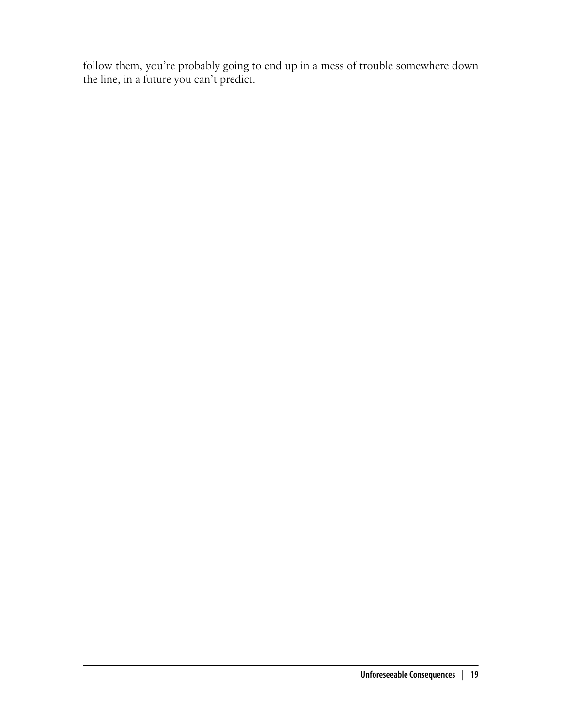follow them, you're probably going to end up in a mess of trouble somewhere down the line, in a future you can't predict.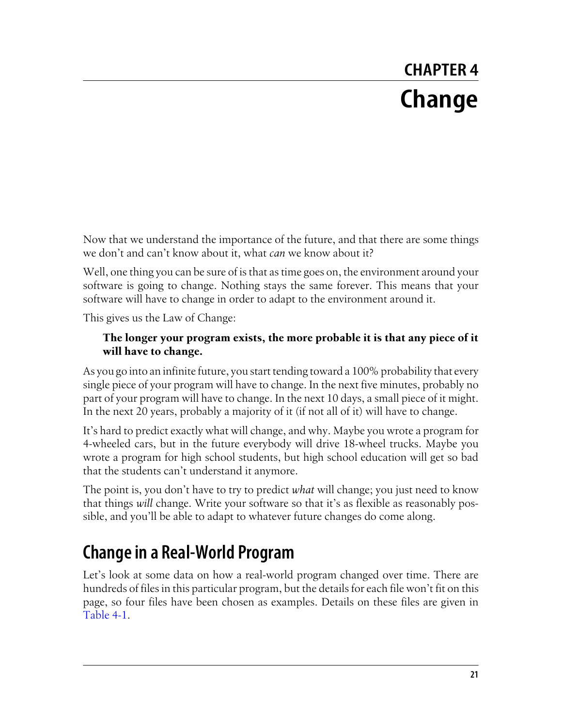# **CHAPTER 4 Change**

Now that we understand the importance of the future, and that there are some things we don't and can't know about it, what *can* we know about it?

Well, one thing you can be sure of is that as time goes on, the environment around your software is going to change. Nothing stays the same forever. This means that your software will have to change in order to adapt to the environment around it.

This gives us the Law of Change:

#### The longer your program exists, the more probable it is that any piece of it will have to change.

As you go into an infinite future, you start tending toward a 100% probability that every single piece of your program will have to change. In the next five minutes, probably no part of your program will have to change. In the next 10 days, a small piece of it might. In the next 20 years, probably a majority of it (if not all of it) will have to change.

It's hard to predict exactly what will change, and why. Maybe you wrote a program for 4-wheeled cars, but in the future everybody will drive 18-wheel trucks. Maybe you wrote a program for high school students, but high school education will get so bad that the students can't understand it anymore.

The point is, you don't have to try to predict what will change; you just need to know that things will change. Write your software so that it's as flexible as reasonably possible, and you'll be able to adapt to whatever future changes do come along.

## **Change in a Real-World Program**

Let's look at some data on how a real-world program changed over time. There are hundreds of files in this particular program, but the details for each file won't fit on this page, so four files have been chosen as examples. Details on these files are given in Table 4-1.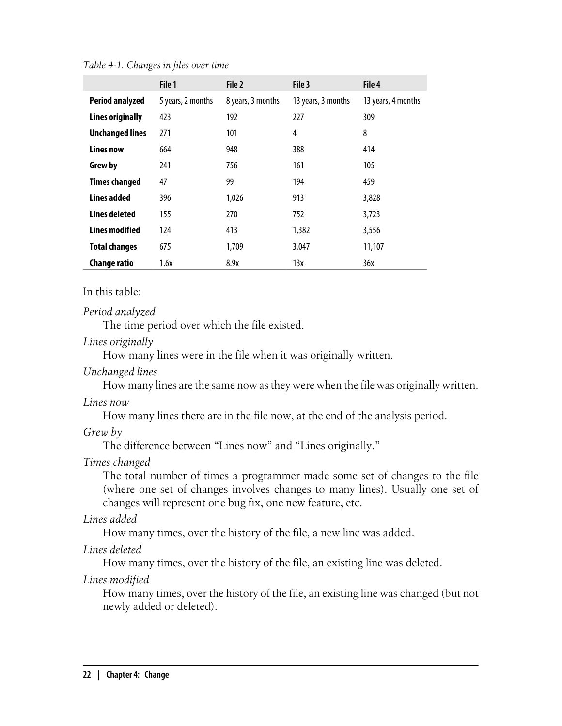|                         | File 1            | File 2            | File 3             | File 4             |
|-------------------------|-------------------|-------------------|--------------------|--------------------|
| <b>Period analyzed</b>  | 5 years, 2 months | 8 years, 3 months | 13 years, 3 months | 13 years, 4 months |
| <b>Lines originally</b> | 423               | 192               | 227                | 309                |
| <b>Unchanged lines</b>  | 271               | 101               | 4                  | 8                  |
| Lines now               | 664               | 948               | 388                | 414                |
| Grew by                 | 241               | 756               | 161                | 105                |
| <b>Times changed</b>    | 47                | 99                | 194                | 459                |
| Lines added             | 396               | 1,026             | 913                | 3,828              |
| <b>Lines deleted</b>    | 155               | 270               | 752                | 3,723              |
| <b>Lines modified</b>   | 124               | 413               | 1,382              | 3,556              |
| <b>Total changes</b>    | 675               | 1,709             | 3,047              | 11,107             |
| <b>Change ratio</b>     | 1.6х              | 8.9x              | 13x                | 36х                |

Table 4-1. Changes in files over time

#### In this table:

#### Period analyzed

The time period over which the file existed.

#### Lines originally

How many lines were in the file when it was originally written.

#### Unchanged lines

How many lines are the same now as they were when the file was originally written.

#### Lines now

How many lines there are in the file now, at the end of the analysis period.

#### Grew by

The difference between "Lines now" and "Lines originally."

#### Times changed

The total number of times a programmer made some set of changes to the file (where one set of changes involves changes to many lines). Usually one set of changes will represent one bug fix, one new feature, etc.

### Lines added

How many times, over the history of the file, a new line was added.

### Lines deleted

How many times, over the history of the file, an existing line was deleted.

### Lines modified

How many times, over the history of the file, an existing line was changed (but not newly added or deleted).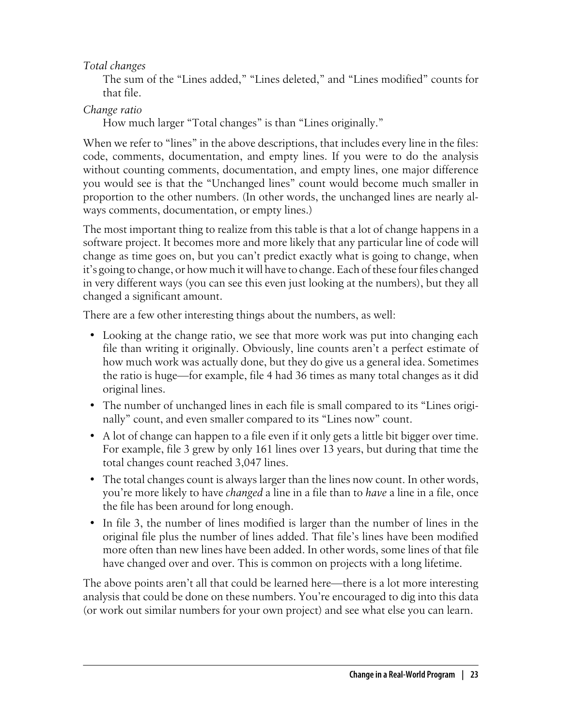Total changes

The sum of the "Lines added," "Lines deleted," and "Lines modified" counts for that file.

Change ratio

How much larger "Total changes" is than "Lines originally."

When we refer to "lines" in the above descriptions, that includes every line in the files: code, comments, documentation, and empty lines. If you were to do the analysis without counting comments, documentation, and empty lines, one major difference you would see is that the "Unchanged lines" count would become much smaller in proportion to the other numbers. (In other words, the unchanged lines are nearly always comments, documentation, or empty lines.)

The most important thing to realize from this table is that a lot of change happens in a software project. It becomes more and more likely that any particular line of code will change as time goes on, but you can't predict exactly what is going to change, when it's going to change, or how much it will have to change. Each of these four files changed in very different ways (you can see this even just looking at the numbers), but they all changed a significant amount.

There are a few other interesting things about the numbers, as well:

- Looking at the change ratio, we see that more work was put into changing each file than writing it originally. Obviously, line counts aren't a perfect estimate of how much work was actually done, but they do give us a general idea. Sometimes the ratio is huge—for example, file 4 had 36 times as many total changes as it did original lines.
- The number of unchanged lines in each file is small compared to its "Lines originally" count, and even smaller compared to its "Lines now" count.
- A lot of change can happen to a file even if it only gets a little bit bigger over time. For example, file 3 grew by only 161 lines over 13 years, but during that time the total changes count reached 3,047 lines.
- The total changes count is always larger than the lines now count. In other words, you're more likely to have changed a line in a file than to have a line in a file, once the file has been around for long enough.
- In file 3, the number of lines modified is larger than the number of lines in the original file plus the number of lines added. That file's lines have been modified more often than new lines have been added. In other words, some lines of that file have changed over and over. This is common on projects with a long lifetime.

The above points aren't all that could be learned here—there is a lot more interesting analysis that could be done on these numbers. You're encouraged to dig into this data (or work out similar numbers for your own project) and see what else you can learn.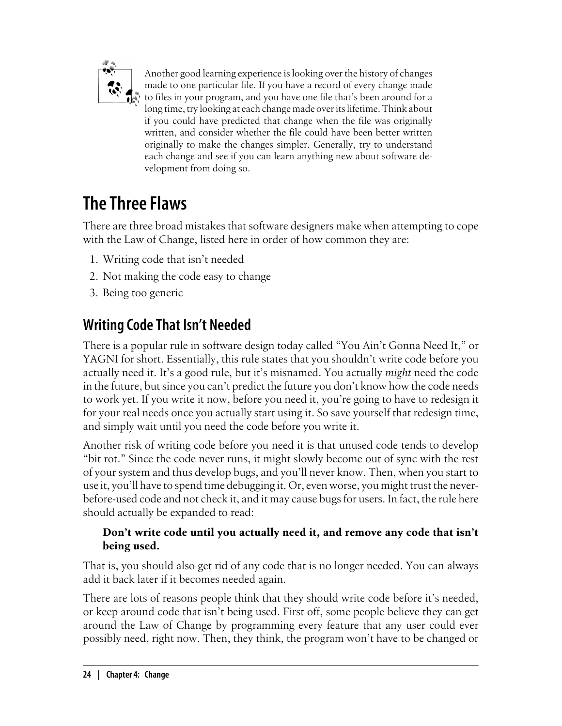

Another good learning experience is looking over the history of changes made to one particular file. If you have a record of every change made to files in your program, and you have one file that's been around for a long time, try looking at each change made over its lifetime. Think about if you could have predicted that change when the file was originally written, and consider whether the file could have been better written originally to make the changes simpler. Generally, try to understand each change and see if you can learn anything new about software development from doing so.

# **The Three Flaws**

There are three broad mistakes that software designers make when attempting to cope with the Law of Change, listed here in order of how common they are:

- 1. Writing code that isn't needed
- 2. Not making the code easy to change
- 3. Being too generic

### **Writing Code That Isn't Needed**

There is a popular rule in software design today called "You Ain't Gonna Need It," or YAGNI for short. Essentially, this rule states that you shouldn't write code before you actually need it. It's a good rule, but it's misnamed. You actually might need the code in the future, but since you can't predict the future you don't know how the code needs to work yet. If you write it now, before you need it, you're going to have to redesign it for your real needs once you actually start using it. So save yourself that redesign time, and simply wait until you need the code before you write it.

Another risk of writing code before you need it is that unused code tends to develop "bit rot." Since the code never runs, it might slowly become out of sync with the rest of your system and thus develop bugs, and you'll never know. Then, when you start to use it, you'll have to spend time debugging it. Or, even worse, you might trust the neverbefore-used code and not check it, and it may cause bugs for users. In fact, the rule here should actually be expanded to read:

#### Don't write code until you actually need it, and remove any code that isn't being used.

That is, you should also get rid of any code that is no longer needed. You can always add it back later if it becomes needed again.

There are lots of reasons people think that they should write code before it's needed, or keep around code that isn't being used. First off, some people believe they can get around the Law of Change by programming every feature that any user could ever possibly need, right now. Then, they think, the program won't have to be changed or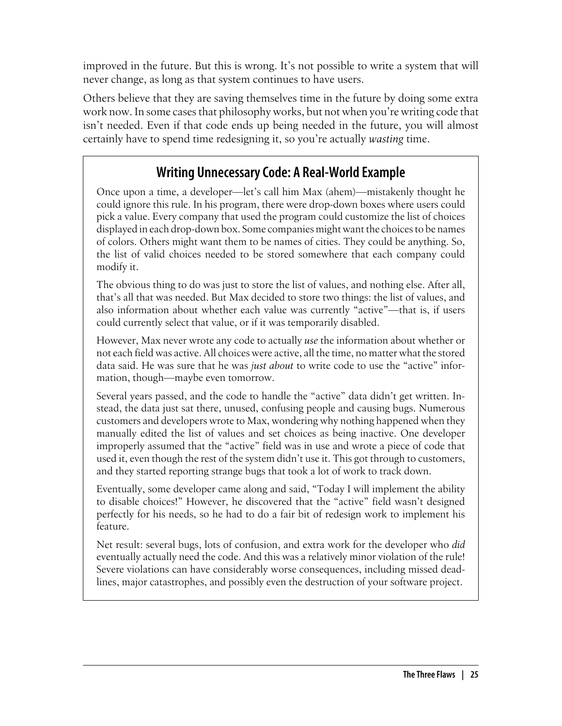improved in the future. But this is wrong. It's not possible to write a system that will never change, as long as that system continues to have users.

Others believe that they are saving themselves time in the future by doing some extra work now. In some cases that philosophy works, but not when you're writing code that isn't needed. Even if that code ends up being needed in the future, you will almost certainly have to spend time redesigning it, so you're actually wasting time.

### **Writing Unnecessary Code: A Real-World Example**

Once upon a time, a developer—let's call him Max (ahem)—mistakenly thought he could ignore this rule. In his program, there were drop-down boxes where users could pick a value. Every company that used the program could customize the list of choices displayed in each drop-down box. Some companies might want the choices to be names of colors. Others might want them to be names of cities. They could be anything. So, the list of valid choices needed to be stored somewhere that each company could modify it.

The obvious thing to do was just to store the list of values, and nothing else. After all, that's all that was needed. But Max decided to store two things: the list of values, and also information about whether each value was currently "active"—that is, if users could currently select that value, or if it was temporarily disabled.

However, Max never wrote any code to actually use the information about whether or not each field was active. All choices were active, all the time, no matter what the stored data said. He was sure that he was just about to write code to use the "active" information, though—maybe even tomorrow.

Several years passed, and the code to handle the "active" data didn't get written. Instead, the data just sat there, unused, confusing people and causing bugs. Numerous customers and developers wrote to Max, wondering why nothing happened when they manually edited the list of values and set choices as being inactive. One developer improperly assumed that the "active" field was in use and wrote a piece of code that used it, even though the rest of the system didn't use it. This got through to customers, and they started reporting strange bugs that took a lot of work to track down.

Eventually, some developer came along and said, "Today I will implement the ability to disable choices!" However, he discovered that the "active" field wasn't designed perfectly for his needs, so he had to do a fair bit of redesign work to implement his feature.

Net result: several bugs, lots of confusion, and extra work for the developer who did eventually actually need the code. And this was a relatively minor violation of the rule! Severe violations can have considerably worse consequences, including missed deadlines, major catastrophes, and possibly even the destruction of your software project.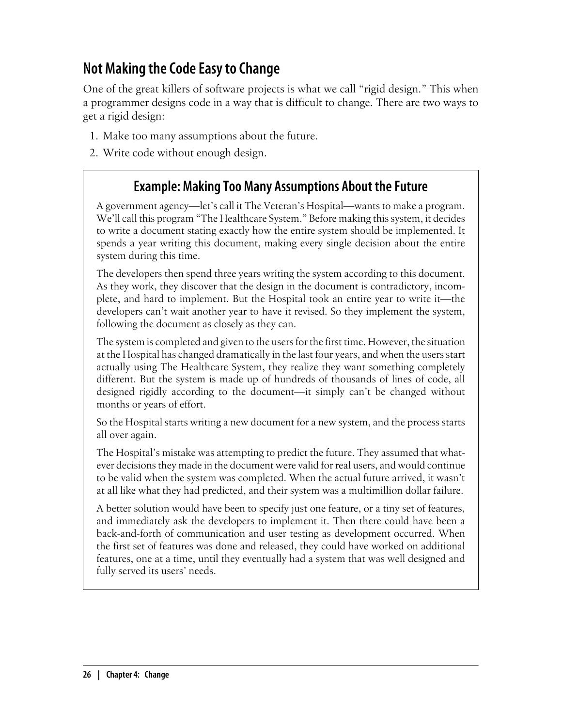### **Not Making the Code Easy to Change**

One of the great killers of software projects is what we call "rigid design." This when a programmer designs code in a way that is difficult to change. There are two ways to get a rigid design:

- 1. Make too many assumptions about the future.
- 2. Write code without enough design.

### **Example: Making Too Many Assumptions About the Future**

A government agency—let's call it The Veteran's Hospital—wants to make a program. We'll call this program "The Healthcare System." Before making this system, it decides to write a document stating exactly how the entire system should be implemented. It spends a year writing this document, making every single decision about the entire system during this time.

The developers then spend three years writing the system according to this document. As they work, they discover that the design in the document is contradictory, incomplete, and hard to implement. But the Hospital took an entire year to write it—the developers can't wait another year to have it revised. So they implement the system, following the document as closely as they can.

The system is completed and given to the users for the first time. However, the situation at the Hospital has changed dramatically in the last four years, and when the users start actually using The Healthcare System, they realize they want something completely different. But the system is made up of hundreds of thousands of lines of code, all designed rigidly according to the document—it simply can't be changed without months or years of effort.

So the Hospital starts writing a new document for a new system, and the process starts all over again.

The Hospital's mistake was attempting to predict the future. They assumed that whatever decisions they made in the document were valid for real users, and would continue to be valid when the system was completed. When the actual future arrived, it wasn't at all like what they had predicted, and their system was a multimillion dollar failure.

A better solution would have been to specify just one feature, or a tiny set of features, and immediately ask the developers to implement it. Then there could have been a back-and-forth of communication and user testing as development occurred. When the first set of features was done and released, they could have worked on additional features, one at a time, until they eventually had a system that was well designed and fully served its users' needs.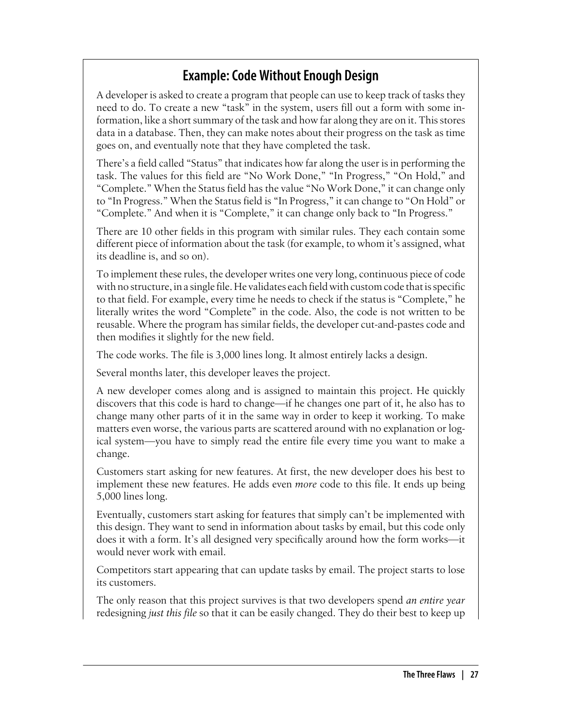### **Example: Code Without Enough Design**

A developer is asked to create a program that people can use to keep track of tasks they need to do. To create a new "task" in the system, users fill out a form with some information, like a short summary of the task and how far along they are on it. This stores data in a database. Then, they can make notes about their progress on the task as time goes on, and eventually note that they have completed the task.

There's a field called "Status" that indicates how far along the user is in performing the task. The values for this field are "No Work Done," "In Progress," "On Hold," and "Complete." When the Status field has the value "No Work Done," it can change only to "In Progress." When the Status field is "In Progress," it can change to "On Hold" or "Complete." And when it is "Complete," it can change only back to "In Progress."

There are 10 other fields in this program with similar rules. They each contain some different piece of information about the task (for example, to whom it's assigned, what its deadline is, and so on).

To implement these rules, the developer writes one very long, continuous piece of code with no structure, in a single file. He validates each field with custom code that is specific to that field. For example, every time he needs to check if the status is "Complete," he literally writes the word "Complete" in the code. Also, the code is not written to be reusable. Where the program has similar fields, the developer cut-and-pastes code and then modifies it slightly for the new field.

The code works. The file is 3,000 lines long. It almost entirely lacks a design.

Several months later, this developer leaves the project.

A new developer comes along and is assigned to maintain this project. He quickly discovers that this code is hard to change—if he changes one part of it, he also has to change many other parts of it in the same way in order to keep it working. To make matters even worse, the various parts are scattered around with no explanation or logical system—you have to simply read the entire file every time you want to make a change.

Customers start asking for new features. At first, the new developer does his best to implement these new features. He adds even *more* code to this file. It ends up being 5,000 lines long.

Eventually, customers start asking for features that simply can't be implemented with this design. They want to send in information about tasks by email, but this code only does it with a form. It's all designed very specifically around how the form works—it would never work with email.

Competitors start appearing that can update tasks by email. The project starts to lose its customers.

The only reason that this project survives is that two developers spend an entire year redesigning just this file so that it can be easily changed. They do their best to keep up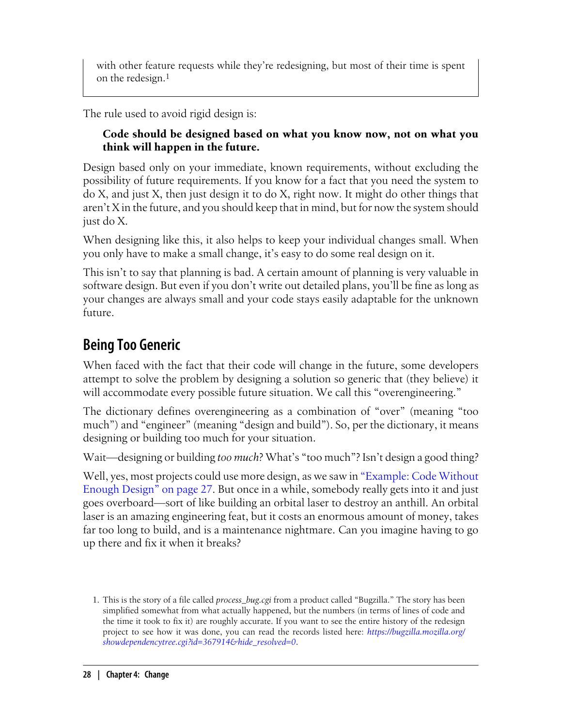with other feature requests while they're redesigning, but most of their time is spent on the redesign.1

The rule used to avoid rigid design is:

#### Code should be designed based on what you know now, not on what you think will happen in the future.

Design based only on your immediate, known requirements, without excluding the possibility of future requirements. If you know for a fact that you need the system to do X, and just X, then just design it to do X, right now. It might do other things that aren't X in the future, and you should keep that in mind, but for now the system should just do X.

When designing like this, it also helps to keep your individual changes small. When you only have to make a small change, it's easy to do some real design on it.

This isn't to say that planning is bad. A certain amount of planning is very valuable in software design. But even if you don't write out detailed plans, you'll be fine as long as your changes are always small and your code stays easily adaptable for the unknown future.

### **Being Too Generic**

When faced with the fact that their code will change in the future, some developers attempt to solve the problem by designing a solution so generic that (they believe) it will accommodate every possible future situation. We call this "overengineering."

The dictionary defines overengineering as a combination of "over" (meaning "too much") and "engineer" (meaning "design and build"). So, per the dictionary, it means designing or building too much for your situation.

Wait—designing or building *too much*? What's "too much"? Isn't design a good thing?

Well, yes, most projects could use more design, as we saw in "Example: Code Without Enough Design" on page 27. But once in a while, somebody really gets into it and just goes overboard—sort of like building an orbital laser to destroy an anthill. An orbital laser is an amazing engineering feat, but it costs an enormous amount of money, takes far too long to build, and is a maintenance nightmare. Can you imagine having to go up there and fix it when it breaks?

<sup>1.</sup> This is the story of a file called *process\_bug.cgi* from a product called "Bugzilla." The story has been simplified somewhat from what actually happened, but the numbers (in terms of lines of code and the time it took to fix it) are roughly accurate. If you want to see the entire history of the redesign project to see how it was done, you can read the records listed here: https://bugzilla.mozilla.org/ showdependencytree.cgi?id=367914&hide\_resolved=0.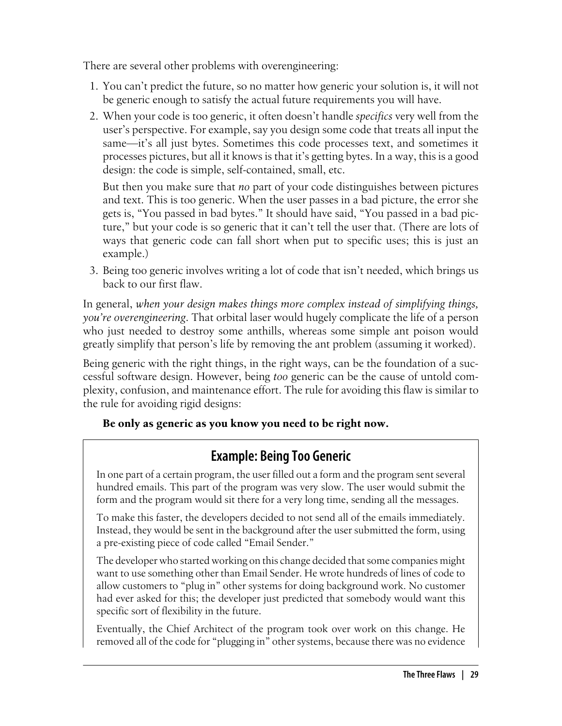There are several other problems with overengineering:

- 1. You can't predict the future, so no matter how generic your solution is, it will not be generic enough to satisfy the actual future requirements you will have.
- 2. When your code is too generic, it often doesn't handle specifics very well from the user's perspective. For example, say you design some code that treats all input the same—it's all just bytes. Sometimes this code processes text, and sometimes it processes pictures, but all it knows is that it's getting bytes. In a way, this is a good design: the code is simple, self-contained, small, etc.

But then you make sure that *no* part of your code distinguishes between pictures and text. This is too generic. When the user passes in a bad picture, the error she gets is, "You passed in bad bytes." It should have said, "You passed in a bad picture," but your code is so generic that it can't tell the user that. (There are lots of ways that generic code can fall short when put to specific uses; this is just an example.)

3. Being too generic involves writing a lot of code that isn't needed, which brings us back to our first flaw.

In general, when your design makes things more complex instead of simplifying things, you're overengineering. That orbital laser would hugely complicate the life of a person who just needed to destroy some anthills, whereas some simple ant poison would greatly simplify that person's life by removing the ant problem (assuming it worked).

Being generic with the right things, in the right ways, can be the foundation of a successful software design. However, being too generic can be the cause of untold complexity, confusion, and maintenance effort. The rule for avoiding this flaw is similar to the rule for avoiding rigid designs:

#### Be only as generic as you know you need to be right now.

### **Example: Being Too Generic**

In one part of a certain program, the user filled out a form and the program sent several hundred emails. This part of the program was very slow. The user would submit the form and the program would sit there for a very long time, sending all the messages.

To make this faster, the developers decided to not send all of the emails immediately. Instead, they would be sent in the background after the user submitted the form, using a pre-existing piece of code called "Email Sender."

The developer who started working on this change decided that some companies might want to use something other than Email Sender. He wrote hundreds of lines of code to allow customers to "plug in" other systems for doing background work. No customer had ever asked for this; the developer just predicted that somebody would want this specific sort of flexibility in the future.

Eventually, the Chief Architect of the program took over work on this change. He removed all of the code for "plugging in" other systems, because there was no evidence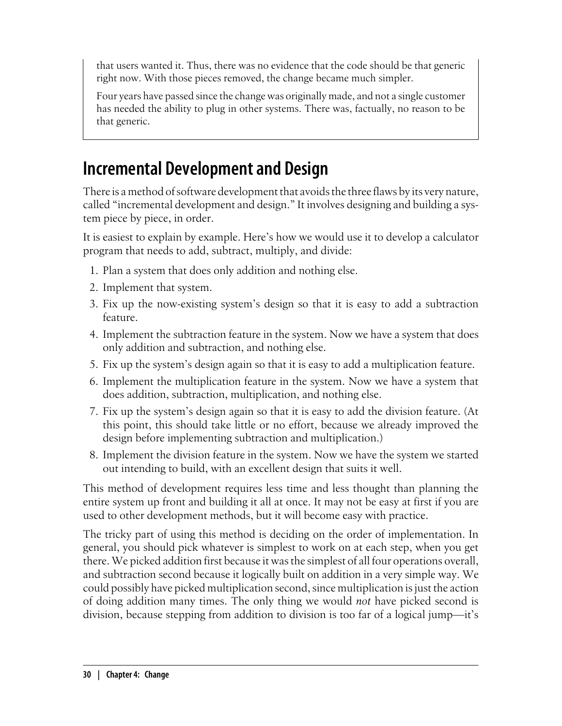that users wanted it. Thus, there was no evidence that the code should be that generic right now. With those pieces removed, the change became much simpler.

Four years have passed since the change was originally made, and not a single customer has needed the ability to plug in other systems. There was, factually, no reason to be that generic.

## **Incremental Development and Design**

There is a method of software development that avoids the three flaws by its very nature, called "incremental development and design." It involves designing and building a system piece by piece, in order.

It is easiest to explain by example. Here's how we would use it to develop a calculator program that needs to add, subtract, multiply, and divide:

- 1. Plan a system that does only addition and nothing else.
- 2. Implement that system.
- 3. Fix up the now-existing system's design so that it is easy to add a subtraction feature.
- 4. Implement the subtraction feature in the system. Now we have a system that does only addition and subtraction, and nothing else.
- 5. Fix up the system's design again so that it is easy to add a multiplication feature.
- 6. Implement the multiplication feature in the system. Now we have a system that does addition, subtraction, multiplication, and nothing else.
- 7. Fix up the system's design again so that it is easy to add the division feature. (At this point, this should take little or no effort, because we already improved the design before implementing subtraction and multiplication.)
- 8. Implement the division feature in the system. Now we have the system we started out intending to build, with an excellent design that suits it well.

This method of development requires less time and less thought than planning the entire system up front and building it all at once. It may not be easy at first if you are used to other development methods, but it will become easy with practice.

The tricky part of using this method is deciding on the order of implementation. In general, you should pick whatever is simplest to work on at each step, when you get there. We picked addition first because it was the simplest of all four operations overall, and subtraction second because it logically built on addition in a very simple way. We could possibly have picked multiplication second, since multiplication is just the action of doing addition many times. The only thing we would not have picked second is division, because stepping from addition to division is too far of a logical jump—it's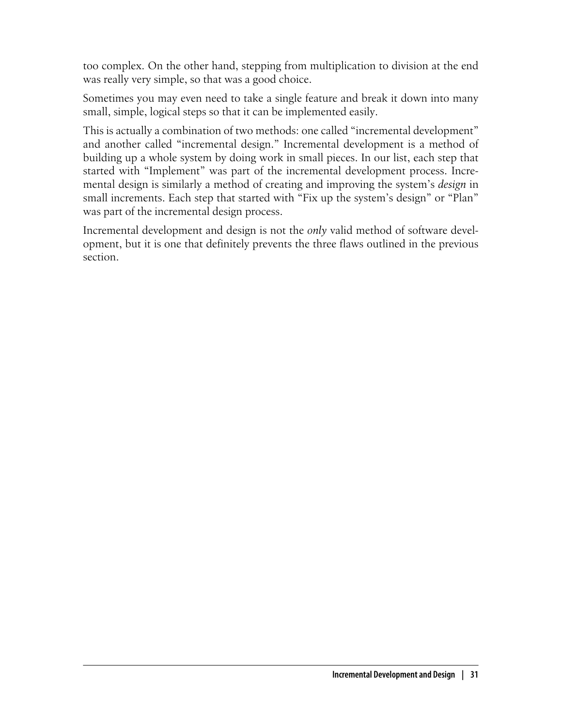too complex. On the other hand, stepping from multiplication to division at the end was really very simple, so that was a good choice.

Sometimes you may even need to take a single feature and break it down into many small, simple, logical steps so that it can be implemented easily.

This is actually a combination of two methods: one called "incremental development" and another called "incremental design." Incremental development is a method of building up a whole system by doing work in small pieces. In our list, each step that started with "Implement" was part of the incremental development process. Incremental design is similarly a method of creating and improving the system's design in small increments. Each step that started with "Fix up the system's design" or "Plan" was part of the incremental design process.

Incremental development and design is not the only valid method of software development, but it is one that definitely prevents the three flaws outlined in the previous section.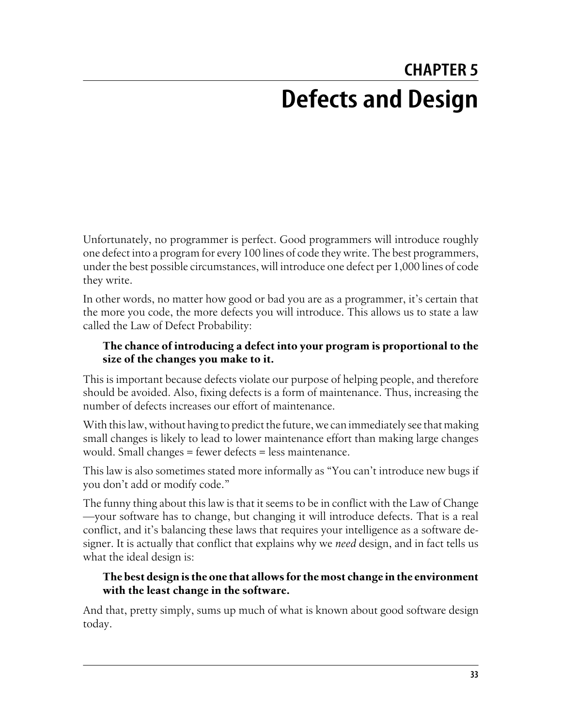# **CHAPTER 5 Defects and Design**

Unfortunately, no programmer is perfect. Good programmers will introduce roughly one defect into a program for every 100 lines of code they write. The best programmers, under the best possible circumstances, will introduce one defect per 1,000 lines of code they write.

In other words, no matter how good or bad you are as a programmer, it's certain that the more you code, the more defects you will introduce. This allows us to state a law called the Law of Defect Probability:

#### The chance of introducing a defect into your program is proportional to the size of the changes you make to it.

This is important because defects violate our purpose of helping people, and therefore should be avoided. Also, fixing defects is a form of maintenance. Thus, increasing the number of defects increases our effort of maintenance.

With this law, without having to predict the future, we can immediately see that making small changes is likely to lead to lower maintenance effort than making large changes would. Small changes = fewer defects = less maintenance.

This law is also sometimes stated more informally as "You can't introduce new bugs if you don't add or modify code."

The funny thing about this law is that it seems to be in conflict with the Law of Change —your software has to change, but changing it will introduce defects. That is a real conflict, and it's balancing these laws that requires your intelligence as a software designer. It is actually that conflict that explains why we *need* design, and in fact tells us what the ideal design is:

#### The best design is the one that allows for the most change in the environment with the least change in the software.

And that, pretty simply, sums up much of what is known about good software design today.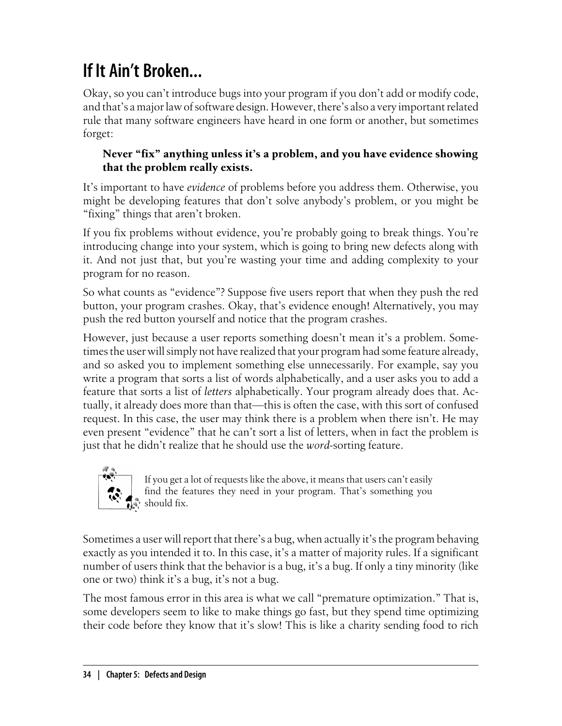# **If It Ain't Broken...**

Okay, so you can't introduce bugs into your program if you don't add or modify code, and that's a major law of software design. However, there's also a very important related rule that many software engineers have heard in one form or another, but sometimes forget:

#### Never "fix" anything unless it's a problem, and you have evidence showing that the problem really exists.

It's important to have evidence of problems before you address them. Otherwise, you might be developing features that don't solve anybody's problem, or you might be "fixing" things that aren't broken.

If you fix problems without evidence, you're probably going to break things. You're introducing change into your system, which is going to bring new defects along with it. And not just that, but you're wasting your time and adding complexity to your program for no reason.

So what counts as "evidence"? Suppose five users report that when they push the red button, your program crashes. Okay, that's evidence enough! Alternatively, you may push the red button yourself and notice that the program crashes.

However, just because a user reports something doesn't mean it's a problem. Sometimes the user will simply not have realized that your program had some feature already, and so asked you to implement something else unnecessarily. For example, say you write a program that sorts a list of words alphabetically, and a user asks you to add a feature that sorts a list of letters alphabetically. Your program already does that. Actually, it already does more than that—this is often the case, with this sort of confused request. In this case, the user may think there is a problem when there isn't. He may even present "evidence" that he can't sort a list of letters, when in fact the problem is just that he didn't realize that he should use the *word-sorting feature*.



If you get a lot of requests like the above, it means that users can't easily find the features they need in your program. That's something you  $\vec{e}$  should fix.

Sometimes a user will report that there's a bug, when actually it's the program behaving exactly as you intended it to. In this case, it's a matter of majority rules. If a significant number of users think that the behavior is a bug, it's a bug. If only a tiny minority (like one or two) think it's a bug, it's not a bug.

The most famous error in this area is what we call "premature optimization." That is, some developers seem to like to make things go fast, but they spend time optimizing their code before they know that it's slow! This is like a charity sending food to rich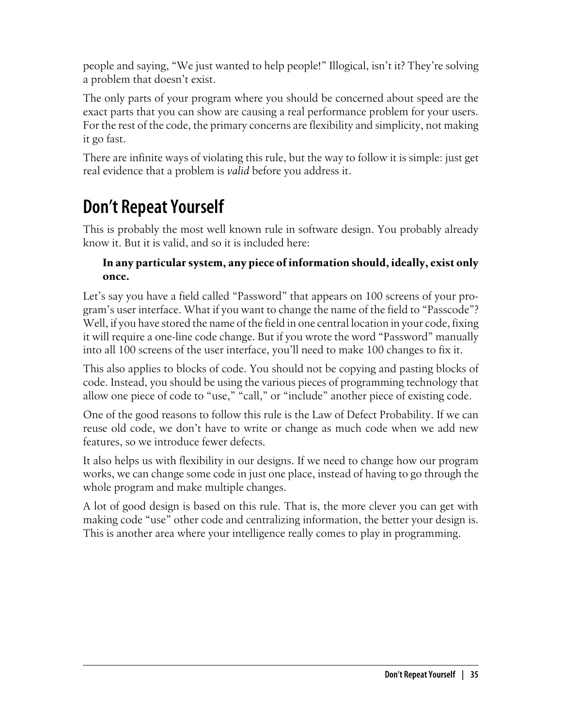people and saying, "We just wanted to help people!" Illogical, isn't it? They're solving a problem that doesn't exist.

The only parts of your program where you should be concerned about speed are the exact parts that you can show are causing a real performance problem for your users. For the rest of the code, the primary concerns are flexibility and simplicity, not making it go fast.

There are infinite ways of violating this rule, but the way to follow it is simple: just get real evidence that a problem is *valid* before you address it.

# **Don't Repeat Yourself**

This is probably the most well known rule in software design. You probably already know it. But it is valid, and so it is included here:

#### In any particular system, any piece of information should, ideally, exist only once.

Let's say you have a field called "Password" that appears on 100 screens of your program's user interface. What if you want to change the name of the field to "Passcode"? Well, if you have stored the name of the field in one central location in your code, fixing it will require a one-line code change. But if you wrote the word "Password" manually into all 100 screens of the user interface, you'll need to make 100 changes to fix it.

This also applies to blocks of code. You should not be copying and pasting blocks of code. Instead, you should be using the various pieces of programming technology that allow one piece of code to "use," "call," or "include" another piece of existing code.

One of the good reasons to follow this rule is the Law of Defect Probability. If we can reuse old code, we don't have to write or change as much code when we add new features, so we introduce fewer defects.

It also helps us with flexibility in our designs. If we need to change how our program works, we can change some code in just one place, instead of having to go through the whole program and make multiple changes.

A lot of good design is based on this rule. That is, the more clever you can get with making code "use" other code and centralizing information, the better your design is. This is another area where your intelligence really comes to play in programming.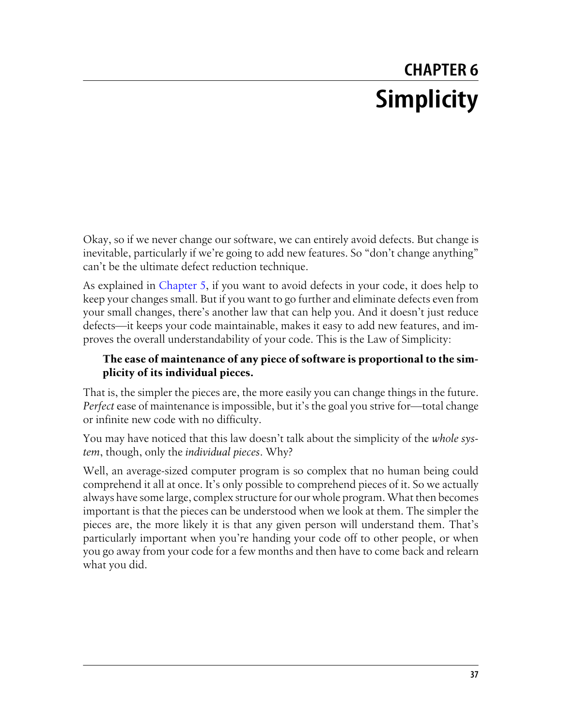# **CHAPTER 6 Simplicity**

Okay, so if we never change our software, we can entirely avoid defects. But change is inevitable, particularly if we're going to add new features. So "don't change anything" can't be the ultimate defect reduction technique.

As explained in Chapter 5, if you want to avoid defects in your code, it does help to keep your changes small. But if you want to go further and eliminate defects even from your small changes, there's another law that can help you. And it doesn't just reduce defects—it keeps your code maintainable, makes it easy to add new features, and improves the overall understandability of your code. This is the Law of Simplicity:

#### The ease of maintenance of any piece of software is proportional to the simplicity of its individual pieces.

That is, the simpler the pieces are, the more easily you can change things in the future. Perfect ease of maintenance is impossible, but it's the goal you strive for—total change or infinite new code with no difficulty.

You may have noticed that this law doesn't talk about the simplicity of the whole system, though, only the individual pieces. Why?

Well, an average-sized computer program is so complex that no human being could comprehend it all at once. It's only possible to comprehend pieces of it. So we actually always have some large, complex structure for our whole program. What then becomes important is that the pieces can be understood when we look at them. The simpler the pieces are, the more likely it is that any given person will understand them. That's particularly important when you're handing your code off to other people, or when you go away from your code for a few months and then have to come back and relearn what you did.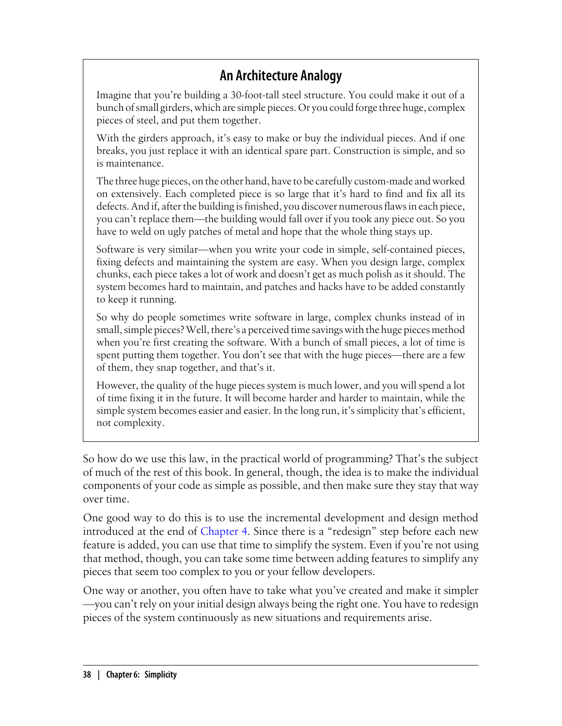### **An Architecture Analogy**

Imagine that you're building a 30-foot-tall steel structure. You could make it out of a bunch of small girders, which are simple pieces. Or you could forge three huge, complex pieces of steel, and put them together.

With the girders approach, it's easy to make or buy the individual pieces. And if one breaks, you just replace it with an identical spare part. Construction is simple, and so is maintenance.

The three huge pieces, on the other hand, have to be carefully custom-made and worked on extensively. Each completed piece is so large that it's hard to find and fix all its defects. And if, after the building is finished, you discover numerous flaws in each piece, you can't replace them—the building would fall over if you took any piece out. So you have to weld on ugly patches of metal and hope that the whole thing stays up.

Software is very similar—when you write your code in simple, self-contained pieces, fixing defects and maintaining the system are easy. When you design large, complex chunks, each piece takes a lot of work and doesn't get as much polish as it should. The system becomes hard to maintain, and patches and hacks have to be added constantly to keep it running.

So why do people sometimes write software in large, complex chunks instead of in small, simple pieces? Well, there's a perceived time savings with the huge pieces method when you're first creating the software. With a bunch of small pieces, a lot of time is spent putting them together. You don't see that with the huge pieces—there are a few of them, they snap together, and that's it.

However, the quality of the huge pieces system is much lower, and you will spend a lot of time fixing it in the future. It will become harder and harder to maintain, while the simple system becomes easier and easier. In the long run, it's simplicity that's efficient, not complexity.

So how do we use this law, in the practical world of programming? That's the subject of much of the rest of this book. In general, though, the idea is to make the individual components of your code as simple as possible, and then make sure they stay that way over time.

One good way to do this is to use the incremental development and design method introduced at the end of Chapter 4. Since there is a "redesign" step before each new feature is added, you can use that time to simplify the system. Even if you're not using that method, though, you can take some time between adding features to simplify any pieces that seem too complex to you or your fellow developers.

One way or another, you often have to take what you've created and make it simpler —you can't rely on your initial design always being the right one. You have to redesign pieces of the system continuously as new situations and requirements arise.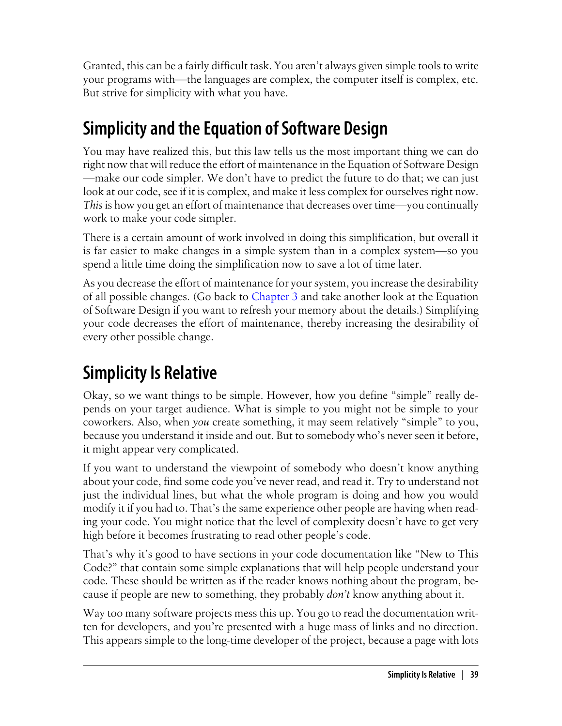Granted, this can be a fairly difficult task. You aren't always given simple tools to write your programs with—the languages are complex, the computer itself is complex, etc. But strive for simplicity with what you have.

## **Simplicity and the Equation of Software Design**

You may have realized this, but this law tells us the most important thing we can do right now that will reduce the effort of maintenance in the Equation of Software Design —make our code simpler. We don't have to predict the future to do that; we can just look at our code, see if it is complex, and make it less complex for ourselves right now. This is how you get an effort of maintenance that decreases over time—you continually work to make your code simpler.

There is a certain amount of work involved in doing this simplification, but overall it is far easier to make changes in a simple system than in a complex system—so you spend a little time doing the simplification now to save a lot of time later.

As you decrease the effort of maintenance for your system, you increase the desirability of all possible changes. (Go back to Chapter 3 and take another look at the Equation of Software Design if you want to refresh your memory about the details.) Simplifying your code decreases the effort of maintenance, thereby increasing the desirability of every other possible change.

# **Simplicity Is Relative**

Okay, so we want things to be simple. However, how you define "simple" really depends on your target audience. What is simple to you might not be simple to your coworkers. Also, when you create something, it may seem relatively "simple" to you, because you understand it inside and out. But to somebody who's never seen it before, it might appear very complicated.

If you want to understand the viewpoint of somebody who doesn't know anything about your code, find some code you've never read, and read it. Try to understand not just the individual lines, but what the whole program is doing and how you would modify it if you had to. That's the same experience other people are having when reading your code. You might notice that the level of complexity doesn't have to get very high before it becomes frustrating to read other people's code.

That's why it's good to have sections in your code documentation like "New to This Code?" that contain some simple explanations that will help people understand your code. These should be written as if the reader knows nothing about the program, because if people are new to something, they probably *don't* know anything about it.

Way too many software projects mess this up. You go to read the documentation written for developers, and you're presented with a huge mass of links and no direction. This appears simple to the long-time developer of the project, because a page with lots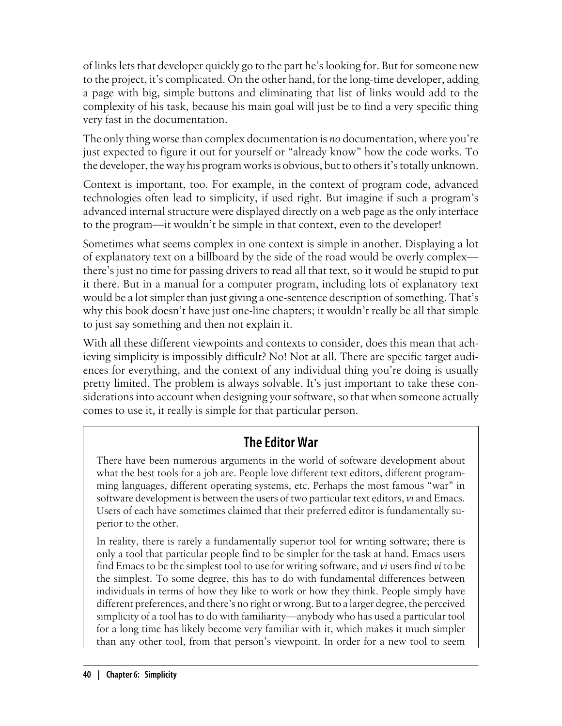of links lets that developer quickly go to the part he's looking for. But for someone new to the project, it's complicated. On the other hand, for the long-time developer, adding a page with big, simple buttons and eliminating that list of links would add to the complexity of his task, because his main goal will just be to find a very specific thing very fast in the documentation.

The only thing worse than complex documentation is no documentation, where you're just expected to figure it out for yourself or "already know" how the code works. To the developer, the way his program works is obvious, but to others it's totally unknown.

Context is important, too. For example, in the context of program code, advanced technologies often lead to simplicity, if used right. But imagine if such a program's advanced internal structure were displayed directly on a web page as the only interface to the program—it wouldn't be simple in that context, even to the developer!

Sometimes what seems complex in one context is simple in another. Displaying a lot of explanatory text on a billboard by the side of the road would be overly complex there's just no time for passing drivers to read all that text, so it would be stupid to put it there. But in a manual for a computer program, including lots of explanatory text would be a lot simpler than just giving a one-sentence description of something. That's why this book doesn't have just one-line chapters; it wouldn't really be all that simple to just say something and then not explain it.

With all these different viewpoints and contexts to consider, does this mean that achieving simplicity is impossibly difficult? No! Not at all. There are specific target audiences for everything, and the context of any individual thing you're doing is usually pretty limited. The problem is always solvable. It's just important to take these considerations into account when designing your software, so that when someone actually comes to use it, it really is simple for that particular person.

### **The Editor War**

There have been numerous arguments in the world of software development about what the best tools for a job are. People love different text editors, different programming languages, different operating systems, etc. Perhaps the most famous "war" in software development is between the users of two particular text editors, *vi* and Emacs. Users of each have sometimes claimed that their preferred editor is fundamentally superior to the other.

In reality, there is rarely a fundamentally superior tool for writing software; there is only a tool that particular people find to be simpler for the task at hand. Emacs users find Emacs to be the simplest tool to use for writing software, and vi users find vi to be the simplest. To some degree, this has to do with fundamental differences between individuals in terms of how they like to work or how they think. People simply have different preferences, and there's no right or wrong. But to a larger degree, the perceived simplicity of a tool has to do with familiarity—anybody who has used a particular tool for a long time has likely become very familiar with it, which makes it much simpler than any other tool, from that person's viewpoint. In order for a new tool to seem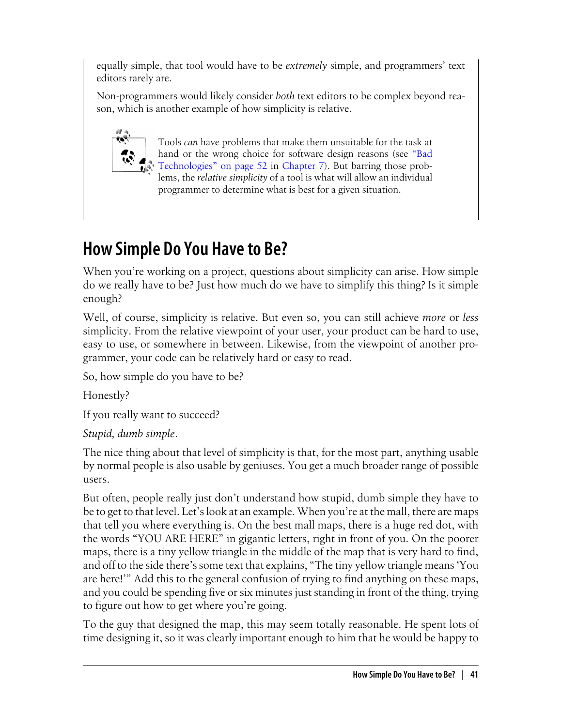equally simple, that tool would have to be extremely simple, and programmers' text editors rarely are.

Non-programmers would likely consider both text editors to be complex beyond reason, which is another example of how simplicity is relative.



Tools can have problems that make them unsuitable for the task at hand or the wrong choice for software design reasons (see "Bad Technologies" on page 52 in Chapter 7). But barring those problems, the relative simplicity of a tool is what will allow an individual programmer to determine what is best for a given situation.

# **How Simple Do You Have to Be?**

When you're working on a project, questions about simplicity can arise. How simple do we really have to be? Just how much do we have to simplify this thing? Is it simple enough?

Well, of course, simplicity is relative. But even so, you can still achieve more or less simplicity. From the relative viewpoint of your user, your product can be hard to use, easy to use, or somewhere in between. Likewise, from the viewpoint of another programmer, your code can be relatively hard or easy to read.

So, how simple do you have to be?

Honestly?

If you really want to succeed?

Stupid, dumb simple.

The nice thing about that level of simplicity is that, for the most part, anything usable by normal people is also usable by geniuses. You get a much broader range of possible users.

But often, people really just don't understand how stupid, dumb simple they have to be to get to that level. Let's look at an example. When you're at the mall, there are maps that tell you where everything is. On the best mall maps, there is a huge red dot, with the words "YOU ARE HERE" in gigantic letters, right in front of you. On the poorer maps, there is a tiny yellow triangle in the middle of the map that is very hard to find, and off to the side there's some text that explains, "The tiny yellow triangle means 'You are here!'" Add this to the general confusion of trying to find anything on these maps, and you could be spending five or six minutes just standing in front of the thing, trying to figure out how to get where you're going.

To the guy that designed the map, this may seem totally reasonable. He spent lots of time designing it, so it was clearly important enough to him that he would be happy to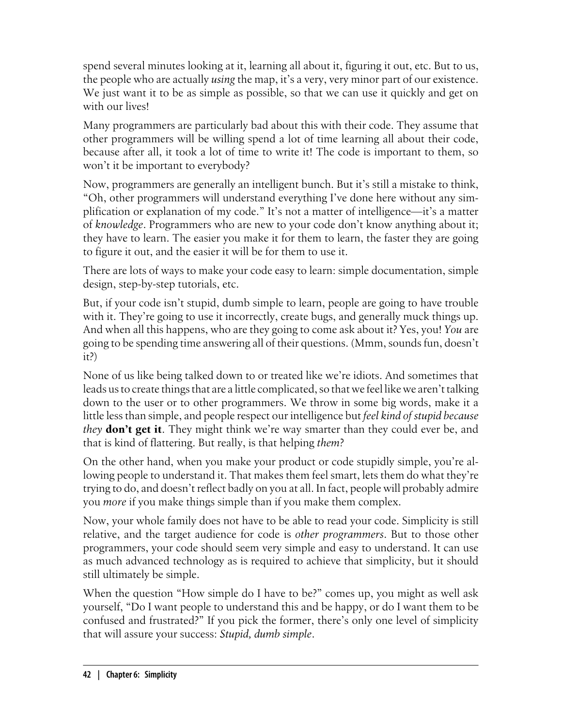spend several minutes looking at it, learning all about it, figuring it out, etc. But to us, the people who are actually *using* the map, it's a very, very minor part of our existence. We just want it to be as simple as possible, so that we can use it quickly and get on with our lives!

Many programmers are particularly bad about this with their code. They assume that other programmers will be willing spend a lot of time learning all about their code, because after all, it took a lot of time to write it! The code is important to them, so won't it be important to everybody?

Now, programmers are generally an intelligent bunch. But it's still a mistake to think, "Oh, other programmers will understand everything I've done here without any simplification or explanation of my code." It's not a matter of intelligence—it's a matter of knowledge. Programmers who are new to your code don't know anything about it; they have to learn. The easier you make it for them to learn, the faster they are going to figure it out, and the easier it will be for them to use it.

There are lots of ways to make your code easy to learn: simple documentation, simple design, step-by-step tutorials, etc.

But, if your code isn't stupid, dumb simple to learn, people are going to have trouble with it. They're going to use it incorrectly, create bugs, and generally muck things up. And when all this happens, who are they going to come ask about it? Yes, you! You are going to be spending time answering all of their questions. (Mmm, sounds fun, doesn't it?)

None of us like being talked down to or treated like we're idiots. And sometimes that leads us to create things that are a little complicated, so that we feel like we aren't talking down to the user or to other programmers. We throw in some big words, make it a little less than simple, and people respect our intelligence but feel kind of stupid because they **don't get it**. They might think we're way smarter than they could ever be, and that is kind of flattering. But really, is that helping them?

On the other hand, when you make your product or code stupidly simple, you're allowing people to understand it. That makes them feel smart, lets them do what they're trying to do, and doesn't reflect badly on you at all. In fact, people will probably admire you *more* if you make things simple than if you make them complex.

Now, your whole family does not have to be able to read your code. Simplicity is still relative, and the target audience for code is other programmers. But to those other programmers, your code should seem very simple and easy to understand. It can use as much advanced technology as is required to achieve that simplicity, but it should still ultimately be simple.

When the question "How simple do I have to be?" comes up, you might as well ask yourself, "Do I want people to understand this and be happy, or do I want them to be confused and frustrated?" If you pick the former, there's only one level of simplicity that will assure your success: Stupid, dumb simple.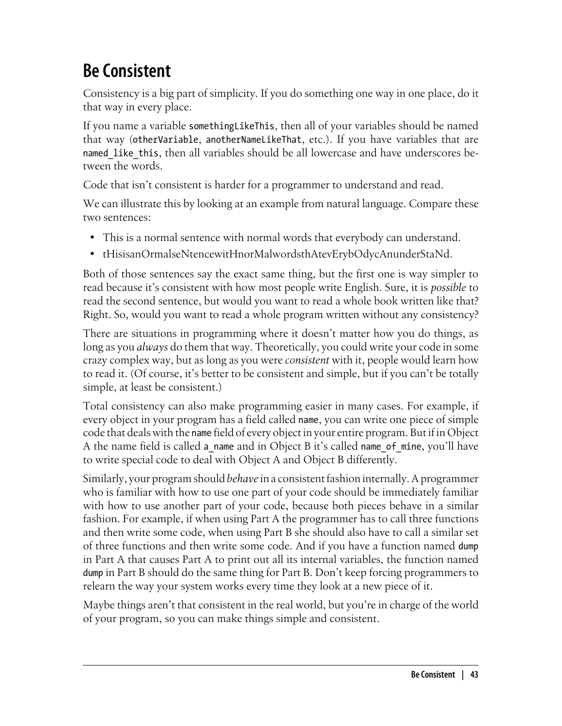## **Be Consistent**

Consistency is a big part of simplicity. If you do something one way in one place, do it that way in every place.

If you name a variable somethingLikeThis, then all of your variables should be named that way (otherVariable, anotherNameLikeThat, etc.). If you have variables that are named like this, then all variables should be all lowercase and have underscores between the words.

Code that isn't consistent is harder for a programmer to understand and read.

We can illustrate this by looking at an example from natural language. Compare these two sentences:

- This is a normal sentence with normal words that everybody can understand.
- tHisisanOrmalseNtencewitHnorMalwordsthAtevErybOdycAnunderStaNd.

Both of those sentences say the exact same thing, but the first one is way simpler to read because it's consistent with how most people write English. Sure, it is possible to read the second sentence, but would you want to read a whole book written like that? Right. So, would you want to read a whole program written without any consistency?

There are situations in programming where it doesn't matter how you do things, as long as you always do them that way. Theoretically, you could write your code in some crazy complex way, but as long as you were consistent with it, people would learn how to read it. (Of course, it's better to be consistent and simple, but if you can't be totally simple, at least be consistent.)

Total consistency can also make programming easier in many cases. For example, if every object in your program has a field called name, you can write one piece of simple code that deals with the name field of every object in your entire program. But if in Object A the name field is called a name and in Object B it's called name of mine, you'll have to write special code to deal with Object A and Object B differently.

Similarly, your program should behave in a consistent fashion internally. A programmer who is familiar with how to use one part of your code should be immediately familiar with how to use another part of your code, because both pieces behave in a similar fashion. For example, if when using Part A the programmer has to call three functions and then write some code, when using Part B she should also have to call a similar set of three functions and then write some code. And if you have a function named dump in Part A that causes Part A to print out all its internal variables, the function named dump in Part B should do the same thing for Part B. Don't keep forcing programmers to relearn the way your system works every time they look at a new piece of it.

Maybe things aren't that consistent in the real world, but you're in charge of the world of your program, so you can make things simple and consistent.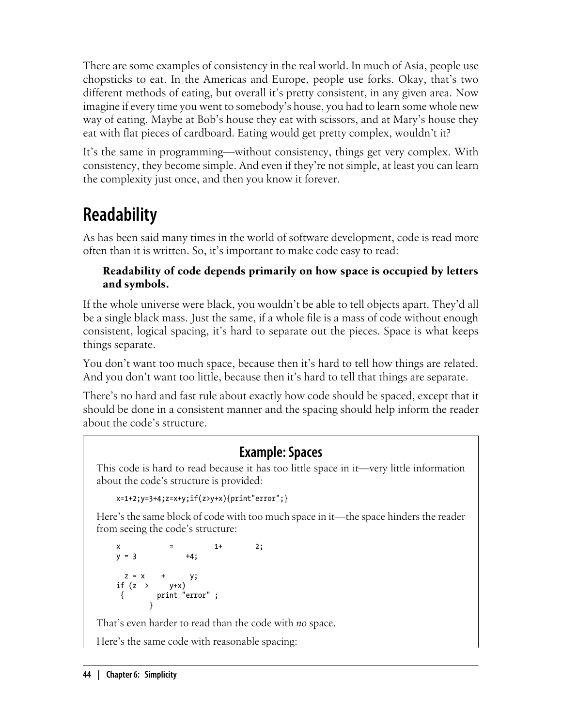There are some examples of consistency in the real world. In much of Asia, people use chopsticks to eat. In the Americas and Europe, people use forks. Okay, that's two different methods of eating, but overall it's pretty consistent, in any given area. Now imagine if every time you went to somebody's house, you had to learn some whole new way of eating. Maybe at Bob's house they eat with scissors, and at Mary's house they eat with flat pieces of cardboard. Eating would get pretty complex, wouldn't it?

It's the same in programming—without consistency, things get very complex. With consistency, they become simple. And even if they're not simple, at least you can learn the complexity just once, and then you know it forever.

# **Readability**

As has been said many times in the world of software development, code is read more often than it is written. So, it's important to make code easy to read:

#### Readability of code depends primarily on how space is occupied by letters and symbols.

If the whole universe were black, you wouldn't be able to tell objects apart. They'd all be a single black mass. Just the same, if a whole file is a mass of code without enough consistent, logical spacing, it's hard to separate out the pieces. Space is what keeps things separate.

You don't want too much space, because then it's hard to tell how things are related. And you don't want too little, because then it's hard to tell that things are separate.

There's no hard and fast rule about exactly how code should be spaced, except that it should be done in a consistent manner and the spacing should help inform the reader about the code's structure.

### **Example: Spaces**

This code is hard to read because it has too little space in it—very little information about the code's structure is provided:

```
x=1+2;y=3+4;z=x+y;if(z>y+x){print"error";}
```
Here's the same block of code with too much space in it—the space hinders the reader from seeing the code's structure:

```
x = 1+ 2;
y = 3 +4;
z = x + y;if (z > y+x) { print "error" ;
 }
```
That's even harder to read than the code with no space.

Here's the same code with reasonable spacing: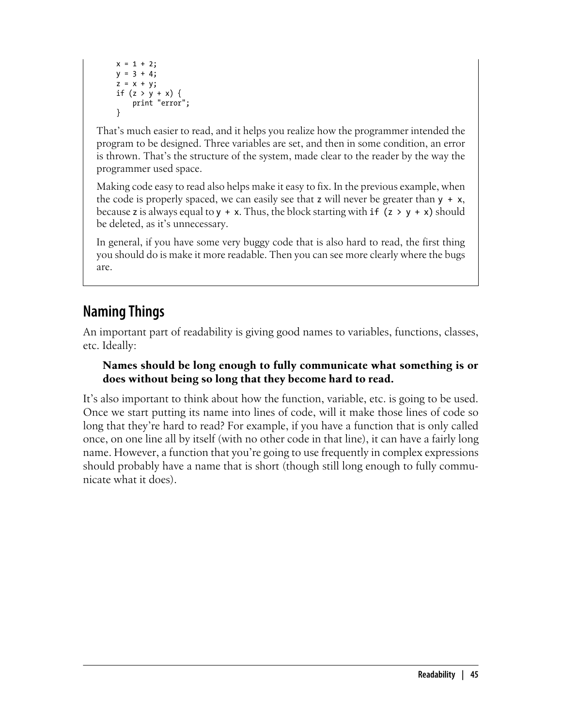$x = 1 + 2;$  $y = 3 + 4;$  $z = x + y;$ if  $(z > y + x)$  { print "error"; }

That's much easier to read, and it helps you realize how the programmer intended the program to be designed. Three variables are set, and then in some condition, an error is thrown. That's the structure of the system, made clear to the reader by the way the programmer used space.

Making code easy to read also helps make it easy to fix. In the previous example, when the code is properly spaced, we can easily see that z will never be greater than  $y + x$ , because z is always equal to  $y + x$ . Thus, the block starting with if  $(z > y + x)$  should be deleted, as it's unnecessary.

In general, if you have some very buggy code that is also hard to read, the first thing you should do is make it more readable. Then you can see more clearly where the bugs are.

### **Naming Things**

An important part of readability is giving good names to variables, functions, classes, etc. Ideally:

#### Names should be long enough to fully communicate what something is or does without being so long that they become hard to read.

It's also important to think about how the function, variable, etc. is going to be used. Once we start putting its name into lines of code, will it make those lines of code so long that they're hard to read? For example, if you have a function that is only called once, on one line all by itself (with no other code in that line), it can have a fairly long name. However, a function that you're going to use frequently in complex expressions should probably have a name that is short (though still long enough to fully communicate what it does).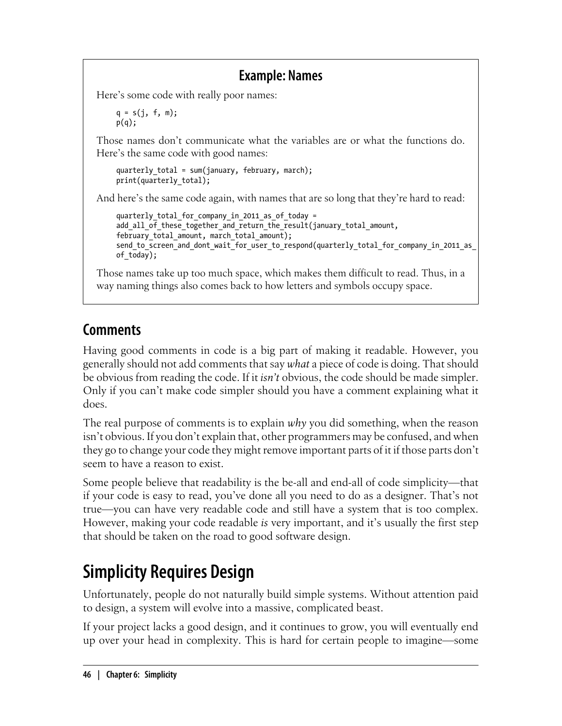### **Example: Names**

Here's some code with really poor names:

 $q = s(j, f, m);$  $p(q)$ ;

Those names don't communicate what the variables are or what the functions do. Here's the same code with good names:

```
quarterly total = sum(january, february, march);
print(quarterly total);
```
And here's the same code again, with names that are so long that they're hard to read:

```
quarterly_total_for_company_in_2011_as_of_today = 
add all of these together and return the result(january total amount,
february total amount, march total amount);
send_to_screen_and_dont_wait_for_user_to_respond(quarterly_total_for_company_in_2011_as_
of today);
```
Those names take up too much space, which makes them difficult to read. Thus, in a way naming things also comes back to how letters and symbols occupy space.

### **Comments**

Having good comments in code is a big part of making it readable. However, you generally should not add comments that say what a piece of code is doing. That should be obvious from reading the code. If it *isn't* obvious, the code should be made simpler. Only if you can't make code simpler should you have a comment explaining what it does.

The real purpose of comments is to explain why you did something, when the reason isn't obvious. If you don't explain that, other programmers may be confused, and when they go to change your code they might remove important parts of it if those parts don't seem to have a reason to exist.

Some people believe that readability is the be-all and end-all of code simplicity—that if your code is easy to read, you've done all you need to do as a designer. That's not true—you can have very readable code and still have a system that is too complex. However, making your code readable is very important, and it's usually the first step that should be taken on the road to good software design.

# **Simplicity Requires Design**

Unfortunately, people do not naturally build simple systems. Without attention paid to design, a system will evolve into a massive, complicated beast.

If your project lacks a good design, and it continues to grow, you will eventually end up over your head in complexity. This is hard for certain people to imagine—some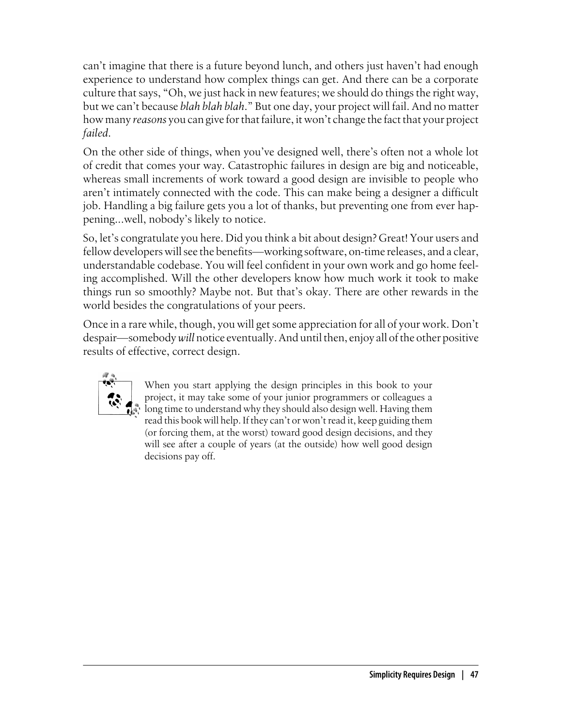can't imagine that there is a future beyond lunch, and others just haven't had enough experience to understand how complex things can get. And there can be a corporate culture that says, "Oh, we just hack in new features; we should do things the right way, but we can't because blah blah blah." But one day, your project will fail. And no matter how many reasons you can give for that failure, it won't change the fact that your project failed.

On the other side of things, when you've designed well, there's often not a whole lot of credit that comes your way. Catastrophic failures in design are big and noticeable, whereas small increments of work toward a good design are invisible to people who aren't intimately connected with the code. This can make being a designer a difficult job. Handling a big failure gets you a lot of thanks, but preventing one from ever happening...well, nobody's likely to notice.

So, let's congratulate you here. Did you think a bit about design? Great! Your users and fellow developers will see the benefits—working software, on-time releases, and a clear, understandable codebase. You will feel confident in your own work and go home feeling accomplished. Will the other developers know how much work it took to make things run so smoothly? Maybe not. But that's okay. There are other rewards in the world besides the congratulations of your peers.

Once in a rare while, though, you will get some appreciation for all of your work. Don't despair—somebody will notice eventually. And until then, enjoy all of the other positive results of effective, correct design.



When you start applying the design principles in this book to your project, it may take some of your junior programmers or colleagues a  $\mathbb{R}^3$  long time to understand why they should also design well. Having them read this book will help. If they can't or won't read it, keep guiding them (or forcing them, at the worst) toward good design decisions, and they will see after a couple of years (at the outside) how well good design decisions pay off.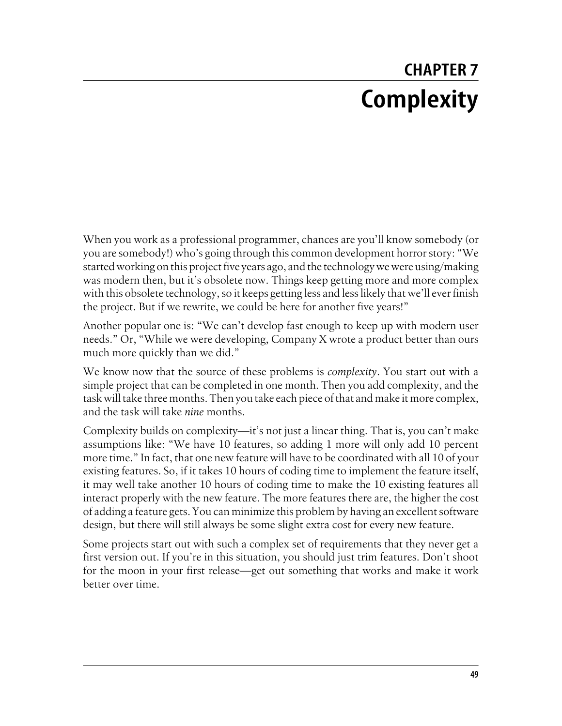# **CHAPTER 7 Complexity**

When you work as a professional programmer, chances are you'll know somebody (or you are somebody!) who's going through this common development horror story: "We started working on this project five years ago, and the technology we were using/making was modern then, but it's obsolete now. Things keep getting more and more complex with this obsolete technology, so it keeps getting less and less likely that we'll ever finish the project. But if we rewrite, we could be here for another five years!"

Another popular one is: "We can't develop fast enough to keep up with modern user needs." Or, "While we were developing, Company X wrote a product better than ours much more quickly than we did."

We know now that the source of these problems is *complexity*. You start out with a simple project that can be completed in one month. Then you add complexity, and the task will take three months. Then you take each piece of that and make it more complex, and the task will take nine months.

Complexity builds on complexity—it's not just a linear thing. That is, you can't make assumptions like: "We have 10 features, so adding 1 more will only add 10 percent more time." In fact, that one new feature will have to be coordinated with all 10 of your existing features. So, if it takes 10 hours of coding time to implement the feature itself, it may well take another 10 hours of coding time to make the 10 existing features all interact properly with the new feature. The more features there are, the higher the cost of adding a feature gets. You can minimize this problem by having an excellent software design, but there will still always be some slight extra cost for every new feature.

Some projects start out with such a complex set of requirements that they never get a first version out. If you're in this situation, you should just trim features. Don't shoot for the moon in your first release—get out something that works and make it work better over time.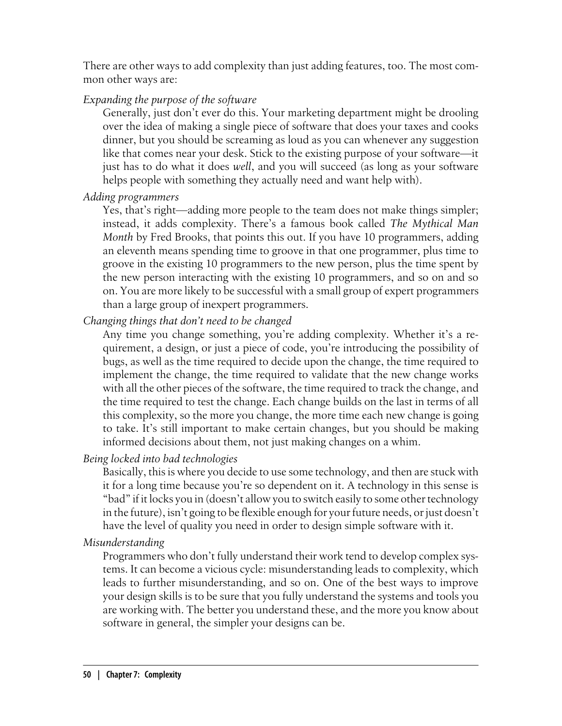There are other ways to add complexity than just adding features, too. The most common other ways are:

#### Expanding the purpose of the software

Generally, just don't ever do this. Your marketing department might be drooling over the idea of making a single piece of software that does your taxes and cooks dinner, but you should be screaming as loud as you can whenever any suggestion like that comes near your desk. Stick to the existing purpose of your software—it just has to do what it does well, and you will succeed (as long as your software helps people with something they actually need and want help with).

#### Adding programmers

Yes, that's right—adding more people to the team does not make things simpler; instead, it adds complexity. There's a famous book called The Mythical Man Month by Fred Brooks, that points this out. If you have 10 programmers, adding an eleventh means spending time to groove in that one programmer, plus time to groove in the existing 10 programmers to the new person, plus the time spent by the new person interacting with the existing 10 programmers, and so on and so on. You are more likely to be successful with a small group of expert programmers than a large group of inexpert programmers.

#### Changing things that don't need to be changed

Any time you change something, you're adding complexity. Whether it's a requirement, a design, or just a piece of code, you're introducing the possibility of bugs, as well as the time required to decide upon the change, the time required to implement the change, the time required to validate that the new change works with all the other pieces of the software, the time required to track the change, and the time required to test the change. Each change builds on the last in terms of all this complexity, so the more you change, the more time each new change is going to take. It's still important to make certain changes, but you should be making informed decisions about them, not just making changes on a whim.

#### Being locked into bad technologies

Basically, this is where you decide to use some technology, and then are stuck with it for a long time because you're so dependent on it. A technology in this sense is "bad" if it locks you in (doesn't allow you to switch easily to some other technology in the future), isn't going to be flexible enough for your future needs, or just doesn't have the level of quality you need in order to design simple software with it.

#### Misunderstanding

Programmers who don't fully understand their work tend to develop complex systems. It can become a vicious cycle: misunderstanding leads to complexity, which leads to further misunderstanding, and so on. One of the best ways to improve your design skills is to be sure that you fully understand the systems and tools you are working with. The better you understand these, and the more you know about software in general, the simpler your designs can be.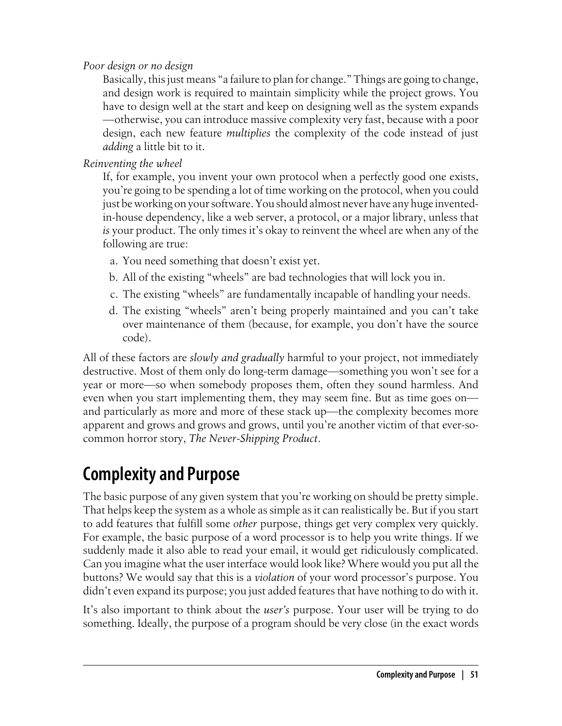#### Poor design or no design

Basically, this just means "a failure to plan for change." Things are going to change, and design work is required to maintain simplicity while the project grows. You have to design well at the start and keep on designing well as the system expands —otherwise, you can introduce massive complexity very fast, because with a poor design, each new feature *multiplies* the complexity of the code instead of just adding a little bit to it.

Reinventing the wheel

If, for example, you invent your own protocol when a perfectly good one exists, you're going to be spending a lot of time working on the protocol, when you could just be working on your software. You should almost never have any huge inventedin-house dependency, like a web server, a protocol, or a major library, unless that is your product. The only times it's okay to reinvent the wheel are when any of the following are true:

- a. You need something that doesn't exist yet.
- b. All of the existing "wheels" are bad technologies that will lock you in.
- c. The existing "wheels" are fundamentally incapable of handling your needs.
- d. The existing "wheels" aren't being properly maintained and you can't take over maintenance of them (because, for example, you don't have the source code).

All of these factors are *slowly and gradually* harmful to your project, not immediately destructive. Most of them only do long-term damage—something you won't see for a year or more—so when somebody proposes them, often they sound harmless. And even when you start implementing them, they may seem fine. But as time goes on and particularly as more and more of these stack up—the complexity becomes more apparent and grows and grows and grows, until you're another victim of that ever-socommon horror story, The Never-Shipping Product.

## **Complexity and Purpose**

The basic purpose of any given system that you're working on should be pretty simple. That helps keep the system as a whole as simple as it can realistically be. But if you start to add features that fulfill some other purpose, things get very complex very quickly. For example, the basic purpose of a word processor is to help you write things. If we suddenly made it also able to read your email, it would get ridiculously complicated. Can you imagine what the user interface would look like? Where would you put all the buttons? We would say that this is a violation of your word processor's purpose. You didn't even expand its purpose; you just added features that have nothing to do with it.

It's also important to think about the *user's* purpose. Your user will be trying to do something. Ideally, the purpose of a program should be very close (in the exact words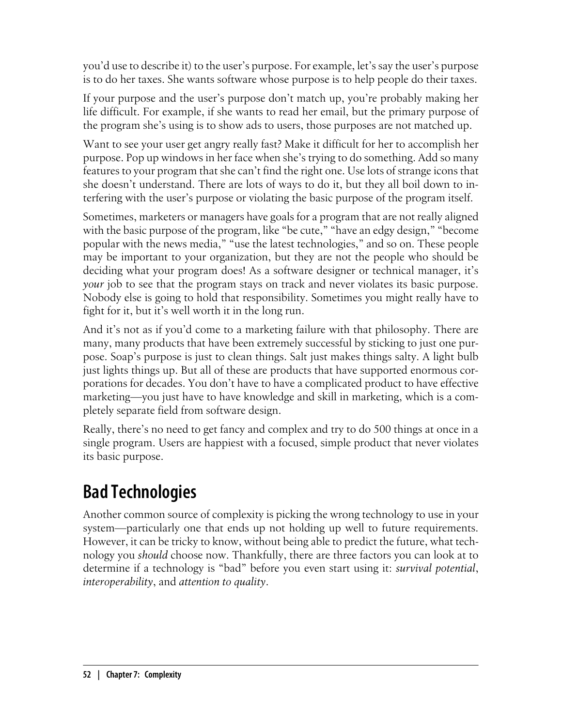you'd use to describe it) to the user's purpose. For example, let's say the user's purpose is to do her taxes. She wants software whose purpose is to help people do their taxes.

If your purpose and the user's purpose don't match up, you're probably making her life difficult. For example, if she wants to read her email, but the primary purpose of the program she's using is to show ads to users, those purposes are not matched up.

Want to see your user get angry really fast? Make it difficult for her to accomplish her purpose. Pop up windows in her face when she's trying to do something. Add so many features to your program that she can't find the right one. Use lots of strange icons that she doesn't understand. There are lots of ways to do it, but they all boil down to interfering with the user's purpose or violating the basic purpose of the program itself.

Sometimes, marketers or managers have goals for a program that are not really aligned with the basic purpose of the program, like "be cute," "have an edgy design," "become popular with the news media," "use the latest technologies," and so on. These people may be important to your organization, but they are not the people who should be deciding what your program does! As a software designer or technical manager, it's your job to see that the program stays on track and never violates its basic purpose. Nobody else is going to hold that responsibility. Sometimes you might really have to fight for it, but it's well worth it in the long run.

And it's not as if you'd come to a marketing failure with that philosophy. There are many, many products that have been extremely successful by sticking to just one purpose. Soap's purpose is just to clean things. Salt just makes things salty. A light bulb just lights things up. But all of these are products that have supported enormous corporations for decades. You don't have to have a complicated product to have effective marketing—you just have to have knowledge and skill in marketing, which is a completely separate field from software design.

Really, there's no need to get fancy and complex and try to do 500 things at once in a single program. Users are happiest with a focused, simple product that never violates its basic purpose.

## **Bad Technologies**

Another common source of complexity is picking the wrong technology to use in your system—particularly one that ends up not holding up well to future requirements. However, it can be tricky to know, without being able to predict the future, what technology you should choose now. Thankfully, there are three factors you can look at to determine if a technology is "bad" before you even start using it: *survival potential*, interoperability, and attention to quality.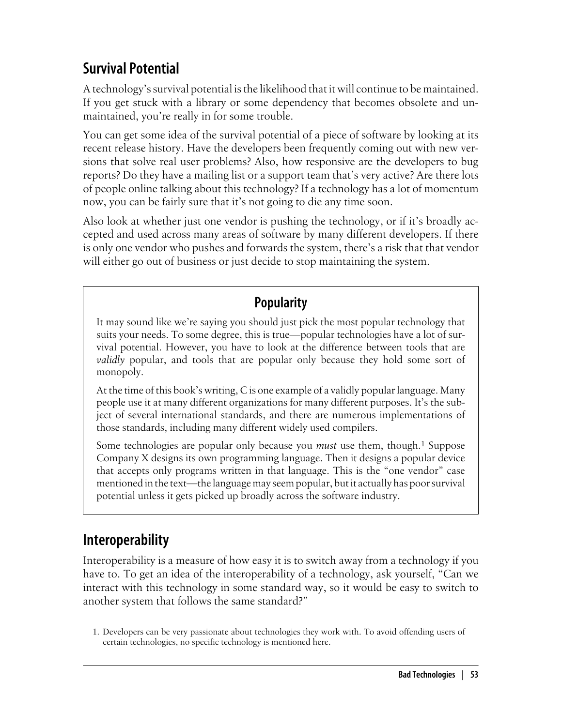### **Survival Potential**

A technology's survival potential is the likelihood that it will continue to be maintained. If you get stuck with a library or some dependency that becomes obsolete and unmaintained, you're really in for some trouble.

You can get some idea of the survival potential of a piece of software by looking at its recent release history. Have the developers been frequently coming out with new versions that solve real user problems? Also, how responsive are the developers to bug reports? Do they have a mailing list or a support team that's very active? Are there lots of people online talking about this technology? If a technology has a lot of momentum now, you can be fairly sure that it's not going to die any time soon.

Also look at whether just one vendor is pushing the technology, or if it's broadly accepted and used across many areas of software by many different developers. If there is only one vendor who pushes and forwards the system, there's a risk that that vendor will either go out of business or just decide to stop maintaining the system.

### **Popularity**

It may sound like we're saying you should just pick the most popular technology that suits your needs. To some degree, this is true—popular technologies have a lot of survival potential. However, you have to look at the difference between tools that are validly popular, and tools that are popular only because they hold some sort of monopoly.

At the time of this book's writing, C is one example of a validly popular language. Many people use it at many different organizations for many different purposes. It's the subject of several international standards, and there are numerous implementations of those standards, including many different widely used compilers.

Some technologies are popular only because you *must* use them, though.<sup>1</sup> Suppose Company X designs its own programming language. Then it designs a popular device that accepts only programs written in that language. This is the "one vendor" case mentioned in the text—the language may seem popular, but it actually has poor survival potential unless it gets picked up broadly across the software industry.

### **Interoperability**

Interoperability is a measure of how easy it is to switch away from a technology if you have to. To get an idea of the interoperability of a technology, ask yourself, "Can we interact with this technology in some standard way, so it would be easy to switch to another system that follows the same standard?"

1. Developers can be very passionate about technologies they work with. To avoid offending users of certain technologies, no specific technology is mentioned here.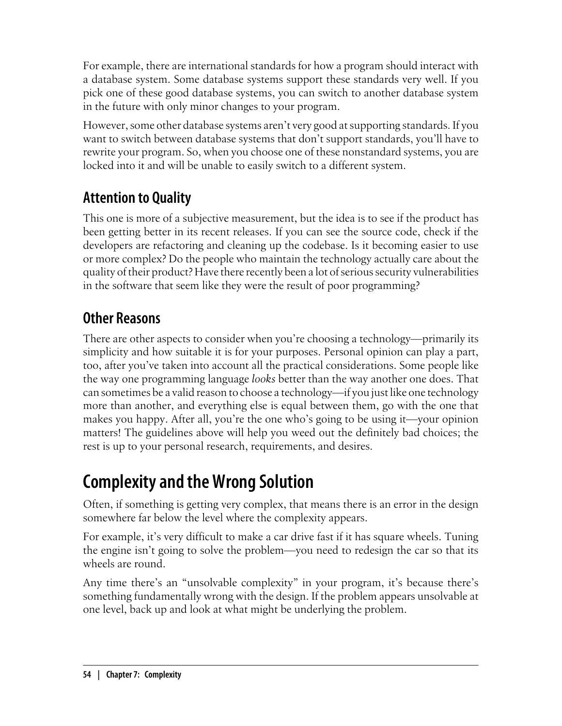For example, there are international standards for how a program should interact with a database system. Some database systems support these standards very well. If you pick one of these good database systems, you can switch to another database system in the future with only minor changes to your program.

However, some other database systems aren't very good at supporting standards. If you want to switch between database systems that don't support standards, you'll have to rewrite your program. So, when you choose one of these nonstandard systems, you are locked into it and will be unable to easily switch to a different system.

### **Attention to Quality**

This one is more of a subjective measurement, but the idea is to see if the product has been getting better in its recent releases. If you can see the source code, check if the developers are refactoring and cleaning up the codebase. Is it becoming easier to use or more complex? Do the people who maintain the technology actually care about the quality of their product? Have there recently been a lot of serious security vulnerabilities in the software that seem like they were the result of poor programming?

### **Other Reasons**

There are other aspects to consider when you're choosing a technology—primarily its simplicity and how suitable it is for your purposes. Personal opinion can play a part, too, after you've taken into account all the practical considerations. Some people like the way one programming language looks better than the way another one does. That can sometimes be a valid reason to choose a technology—if you just like one technology more than another, and everything else is equal between them, go with the one that makes you happy. After all, you're the one who's going to be using it—your opinion matters! The guidelines above will help you weed out the definitely bad choices; the rest is up to your personal research, requirements, and desires.

# **Complexity and the Wrong Solution**

Often, if something is getting very complex, that means there is an error in the design somewhere far below the level where the complexity appears.

For example, it's very difficult to make a car drive fast if it has square wheels. Tuning the engine isn't going to solve the problem—you need to redesign the car so that its wheels are round.

Any time there's an "unsolvable complexity" in your program, it's because there's something fundamentally wrong with the design. If the problem appears unsolvable at one level, back up and look at what might be underlying the problem.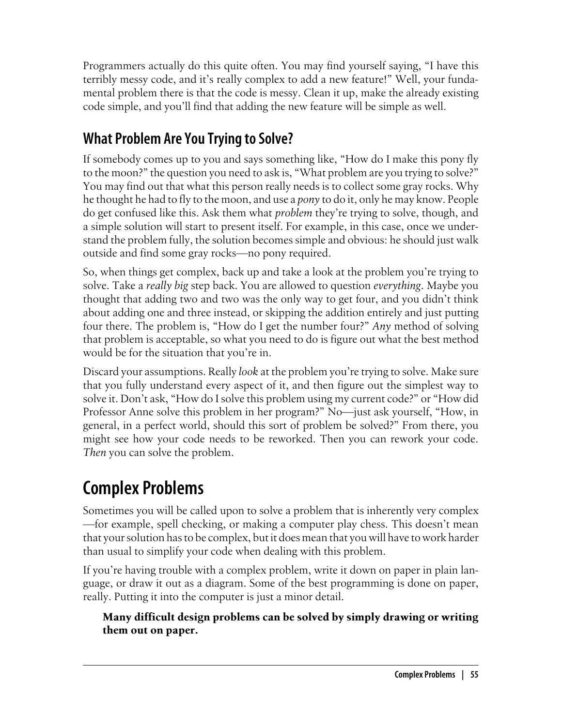Programmers actually do this quite often. You may find yourself saying, "I have this terribly messy code, and it's really complex to add a new feature!" Well, your fundamental problem there is that the code is messy. Clean it up, make the already existing code simple, and you'll find that adding the new feature will be simple as well.

### **What Problem Are You Trying to Solve?**

If somebody comes up to you and says something like, "How do I make this pony fly to the moon?" the question you need to ask is, "What problem are you trying to solve?" You may find out that what this person really needs is to collect some gray rocks. Why he thought he had to fly to the moon, and use a *pony* to do it, only he may know. People do get confused like this. Ask them what problem they're trying to solve, though, and a simple solution will start to present itself. For example, in this case, once we understand the problem fully, the solution becomes simple and obvious: he should just walk outside and find some gray rocks—no pony required.

So, when things get complex, back up and take a look at the problem you're trying to solve. Take a *really big* step back. You are allowed to question *everything*. Maybe you thought that adding two and two was the only way to get four, and you didn't think about adding one and three instead, or skipping the addition entirely and just putting four there. The problem is, "How do I get the number four?" Any method of solving that problem is acceptable, so what you need to do is figure out what the best method would be for the situation that you're in.

Discard your assumptions. Really look at the problem you're trying to solve. Make sure that you fully understand every aspect of it, and then figure out the simplest way to solve it. Don't ask, "How do I solve this problem using my current code?" or "How did Professor Anne solve this problem in her program?" No—just ask yourself, "How, in general, in a perfect world, should this sort of problem be solved?" From there, you might see how your code needs to be reworked. Then you can rework your code. Then you can solve the problem.

# **Complex Problems**

Sometimes you will be called upon to solve a problem that is inherently very complex —for example, spell checking, or making a computer play chess. This doesn't mean that your solution has to be complex, but it does mean that you will have to work harder than usual to simplify your code when dealing with this problem.

If you're having trouble with a complex problem, write it down on paper in plain language, or draw it out as a diagram. Some of the best programming is done on paper, really. Putting it into the computer is just a minor detail.

#### Many difficult design problems can be solved by simply drawing or writing them out on paper.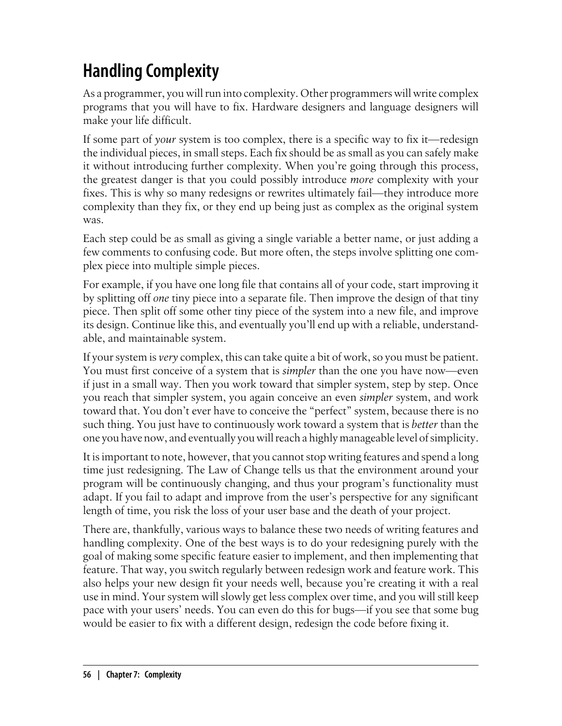# **Handling Complexity**

As a programmer, you will run into complexity. Other programmers will write complex programs that you will have to fix. Hardware designers and language designers will make your life difficult.

If some part of your system is too complex, there is a specific way to fix it—redesign the individual pieces, in small steps. Each fix should be as small as you can safely make it without introducing further complexity. When you're going through this process, the greatest danger is that you could possibly introduce more complexity with your fixes. This is why so many redesigns or rewrites ultimately fail—they introduce more complexity than they fix, or they end up being just as complex as the original system was.

Each step could be as small as giving a single variable a better name, or just adding a few comments to confusing code. But more often, the steps involve splitting one complex piece into multiple simple pieces.

For example, if you have one long file that contains all of your code, start improving it by splitting off one tiny piece into a separate file. Then improve the design of that tiny piece. Then split off some other tiny piece of the system into a new file, and improve its design. Continue like this, and eventually you'll end up with a reliable, understandable, and maintainable system.

If your system is *very* complex, this can take quite a bit of work, so you must be patient. You must first conceive of a system that is *simpler* than the one you have now—even if just in a small way. Then you work toward that simpler system, step by step. Once you reach that simpler system, you again conceive an even *simpler* system, and work toward that. You don't ever have to conceive the "perfect" system, because there is no such thing. You just have to continuously work toward a system that is *better* than the one you have now, and eventually you will reach a highly manageable level of simplicity.

It is important to note, however, that you cannot stop writing features and spend a long time just redesigning. The Law of Change tells us that the environment around your program will be continuously changing, and thus your program's functionality must adapt. If you fail to adapt and improve from the user's perspective for any significant length of time, you risk the loss of your user base and the death of your project.

There are, thankfully, various ways to balance these two needs of writing features and handling complexity. One of the best ways is to do your redesigning purely with the goal of making some specific feature easier to implement, and then implementing that feature. That way, you switch regularly between redesign work and feature work. This also helps your new design fit your needs well, because you're creating it with a real use in mind. Your system will slowly get less complex over time, and you will still keep pace with your users' needs. You can even do this for bugs—if you see that some bug would be easier to fix with a different design, redesign the code before fixing it.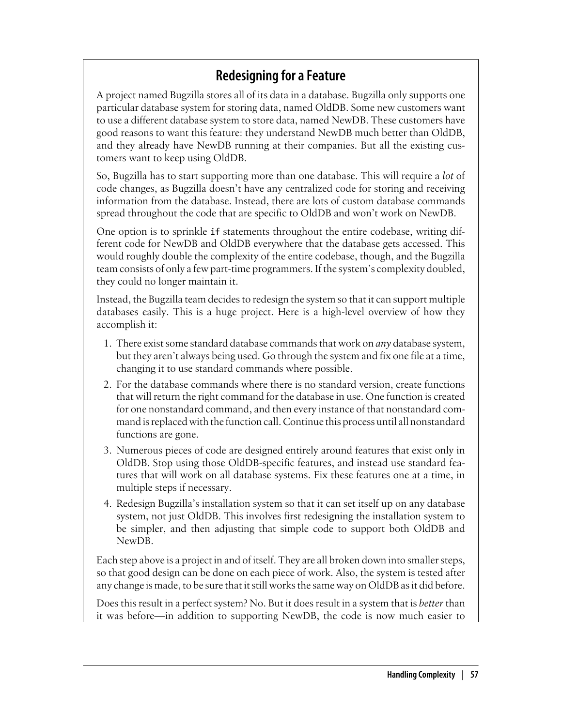### **Redesigning for a Feature**

A project named Bugzilla stores all of its data in a database. Bugzilla only supports one particular database system for storing data, named OldDB. Some new customers want to use a different database system to store data, named NewDB. These customers have good reasons to want this feature: they understand NewDB much better than OldDB, and they already have NewDB running at their companies. But all the existing customers want to keep using OldDB.

So, Bugzilla has to start supporting more than one database. This will require a lot of code changes, as Bugzilla doesn't have any centralized code for storing and receiving information from the database. Instead, there are lots of custom database commands spread throughout the code that are specific to OldDB and won't work on NewDB.

One option is to sprinkle if statements throughout the entire codebase, writing different code for NewDB and OldDB everywhere that the database gets accessed. This would roughly double the complexity of the entire codebase, though, and the Bugzilla team consists of only a few part-time programmers. If the system's complexity doubled, they could no longer maintain it.

Instead, the Bugzilla team decides to redesign the system so that it can support multiple databases easily. This is a huge project. Here is a high-level overview of how they accomplish it:

- 1. There exist some standard database commands that work on *any* database system, but they aren't always being used. Go through the system and fix one file at a time, changing it to use standard commands where possible.
- 2. For the database commands where there is no standard version, create functions that will return the right command for the database in use. One function is created for one nonstandard command, and then every instance of that nonstandard command is replaced with the function call. Continue this process until all nonstandard functions are gone.
- 3. Numerous pieces of code are designed entirely around features that exist only in OldDB. Stop using those OldDB-specific features, and instead use standard features that will work on all database systems. Fix these features one at a time, in multiple steps if necessary.
- 4. Redesign Bugzilla's installation system so that it can set itself up on any database system, not just OldDB. This involves first redesigning the installation system to be simpler, and then adjusting that simple code to support both OldDB and NewDB.

Each step above is a project in and of itself. They are all broken down into smaller steps, so that good design can be done on each piece of work. Also, the system is tested after any change is made, to be sure that it still works the same way on OldDB as it did before.

Does this result in a perfect system? No. But it does result in a system that is better than it was before—in addition to supporting NewDB, the code is now much easier to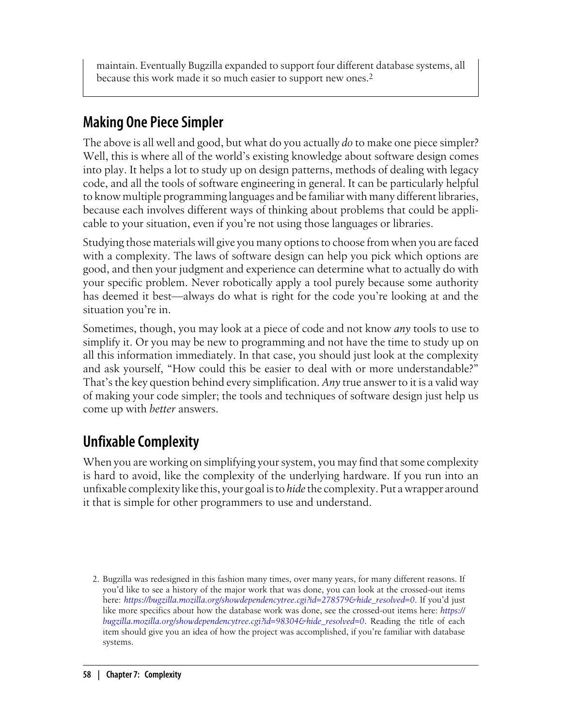maintain. Eventually Bugzilla expanded to support four different database systems, all because this work made it so much easier to support new ones.<sup>2</sup>

### **Making One Piece Simpler**

The above is all well and good, but what do you actually do to make one piece simpler? Well, this is where all of the world's existing knowledge about software design comes into play. It helps a lot to study up on design patterns, methods of dealing with legacy code, and all the tools of software engineering in general. It can be particularly helpful to know multiple programming languages and be familiar with many different libraries, because each involves different ways of thinking about problems that could be applicable to your situation, even if you're not using those languages or libraries.

Studying those materials will give you many options to choose from when you are faced with a complexity. The laws of software design can help you pick which options are good, and then your judgment and experience can determine what to actually do with your specific problem. Never robotically apply a tool purely because some authority has deemed it best—always do what is right for the code you're looking at and the situation you're in.

Sometimes, though, you may look at a piece of code and not know *any* tools to use to simplify it. Or you may be new to programming and not have the time to study up on all this information immediately. In that case, you should just look at the complexity and ask yourself, "How could this be easier to deal with or more understandable?" That's the key question behind every simplification. Any true answer to it is a valid way of making your code simpler; the tools and techniques of software design just help us come up with better answers.

### **Unfixable Complexity**

When you are working on simplifying your system, you may find that some complexity is hard to avoid, like the complexity of the underlying hardware. If you run into an unfixable complexity like this, your goal is to hide the complexity. Put a wrapper around it that is simple for other programmers to use and understand.

<sup>2.</sup> Bugzilla was redesigned in this fashion many times, over many years, for many different reasons. If you'd like to see a history of the major work that was done, you can look at the crossed-out items here: https://bugzilla.mozilla.org/showdependencytree.cgi?id=278579&hide\_resolved=0. If you'd just like more specifics about how the database work was done, see the crossed-out items here: https:// bugzilla.mozilla.org/showdependencytree.cgi?id=98304&hide\_resolved=0. Reading the title of each item should give you an idea of how the project was accomplished, if you're familiar with database systems.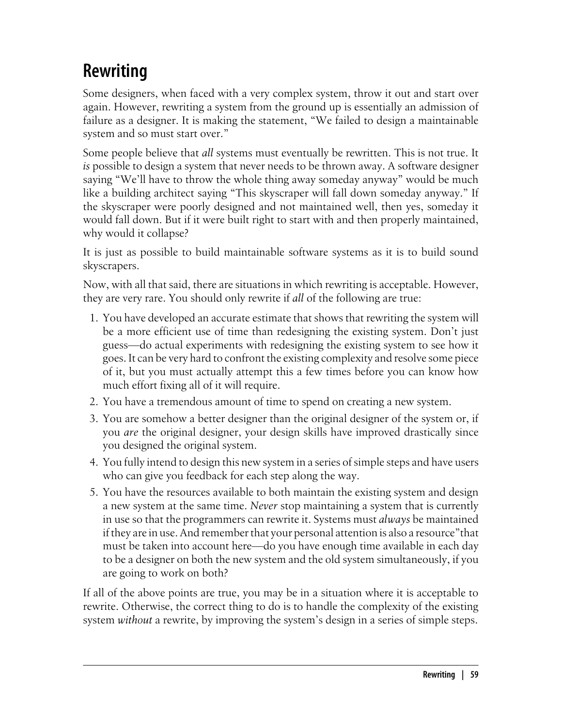## **Rewriting**

Some designers, when faced with a very complex system, throw it out and start over again. However, rewriting a system from the ground up is essentially an admission of failure as a designer. It is making the statement, "We failed to design a maintainable system and so must start over."

Some people believe that all systems must eventually be rewritten. This is not true. It is possible to design a system that never needs to be thrown away. A software designer saying "We'll have to throw the whole thing away someday anyway" would be much like a building architect saying "This skyscraper will fall down someday anyway." If the skyscraper were poorly designed and not maintained well, then yes, someday it would fall down. But if it were built right to start with and then properly maintained, why would it collapse?

It is just as possible to build maintainable software systems as it is to build sound skyscrapers.

Now, with all that said, there are situations in which rewriting is acceptable. However, they are very rare. You should only rewrite if all of the following are true:

- 1. You have developed an accurate estimate that shows that rewriting the system will be a more efficient use of time than redesigning the existing system. Don't just guess—do actual experiments with redesigning the existing system to see how it goes. It can be very hard to confront the existing complexity and resolve some piece of it, but you must actually attempt this a few times before you can know how much effort fixing all of it will require.
- 2. You have a tremendous amount of time to spend on creating a new system.
- 3. You are somehow a better designer than the original designer of the system or, if you are the original designer, your design skills have improved drastically since you designed the original system.
- 4. You fully intend to design this new system in a series of simple steps and have users who can give you feedback for each step along the way.
- 5. You have the resources available to both maintain the existing system and design a new system at the same time. Never stop maintaining a system that is currently in use so that the programmers can rewrite it. Systems must always be maintained if they are in use. And remember that your personal attention is also a resource"that must be taken into account here—do you have enough time available in each day to be a designer on both the new system and the old system simultaneously, if you are going to work on both?

If all of the above points are true, you may be in a situation where it is acceptable to rewrite. Otherwise, the correct thing to do is to handle the complexity of the existing system without a rewrite, by improving the system's design in a series of simple steps.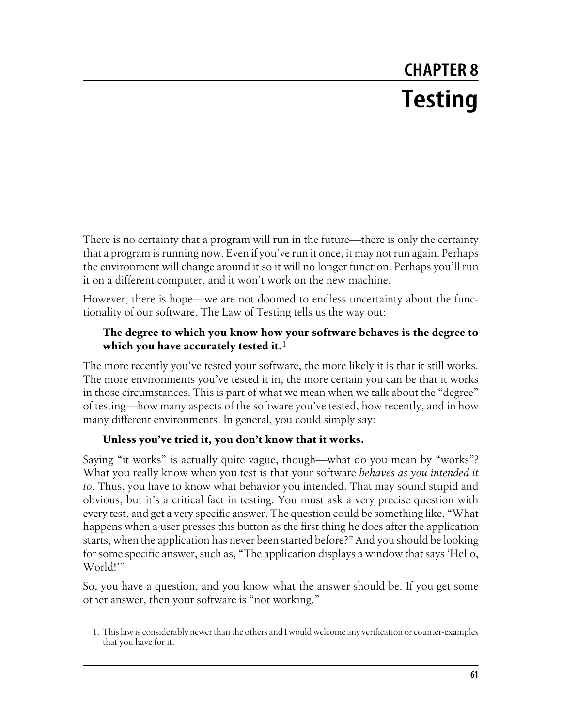# **CHAPTER 8 Testing**

There is no certainty that a program will run in the future—there is only the certainty that a program is running now. Even if you've run it once, it may not run again. Perhaps the environment will change around it so it will no longer function. Perhaps you'll run it on a different computer, and it won't work on the new machine.

However, there is hope—we are not doomed to endless uncertainty about the functionality of our software. The Law of Testing tells us the way out:

#### The degree to which you know how your software behaves is the degree to which you have accurately tested it. $<sup>1</sup>$ </sup>

The more recently you've tested your software, the more likely it is that it still works. The more environments you've tested it in, the more certain you can be that it works in those circumstances. This is part of what we mean when we talk about the "degree" of testing—how many aspects of the software you've tested, how recently, and in how many different environments. In general, you could simply say:

#### Unless you've tried it, you don't know that it works.

Saying "it works" is actually quite vague, though—what do you mean by "works"? What you really know when you test is that your software behaves as you intended it to. Thus, you have to know what behavior you intended. That may sound stupid and obvious, but it's a critical fact in testing. You must ask a very precise question with every test, and get a very specific answer. The question could be something like, "What happens when a user presses this button as the first thing he does after the application starts, when the application has never been started before?" And you should be looking for some specific answer, such as, "The application displays a window that says 'Hello, World!'"

So, you have a question, and you know what the answer should be. If you get some other answer, then your software is "not working."

<sup>1.</sup> This law is considerably newer than the others and I would welcome any verification or counter-examples that you have for it.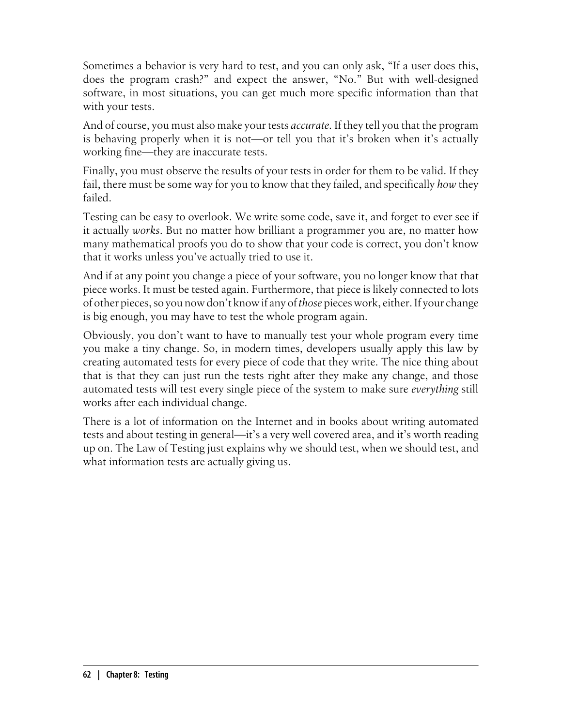Sometimes a behavior is very hard to test, and you can only ask, "If a user does this, does the program crash?" and expect the answer, "No." But with well-designed software, in most situations, you can get much more specific information than that with your tests.

And of course, you must also make your tests *accurate*. If they tell you that the program is behaving properly when it is not—or tell you that it's broken when it's actually working fine—they are inaccurate tests.

Finally, you must observe the results of your tests in order for them to be valid. If they fail, there must be some way for you to know that they failed, and specifically how they failed.

Testing can be easy to overlook. We write some code, save it, and forget to ever see if it actually works. But no matter how brilliant a programmer you are, no matter how many mathematical proofs you do to show that your code is correct, you don't know that it works unless you've actually tried to use it.

And if at any point you change a piece of your software, you no longer know that that piece works. It must be tested again. Furthermore, that piece is likely connected to lots of other pieces, so you now don't know if any of those pieces work, either. If your change is big enough, you may have to test the whole program again.

Obviously, you don't want to have to manually test your whole program every time you make a tiny change. So, in modern times, developers usually apply this law by creating automated tests for every piece of code that they write. The nice thing about that is that they can just run the tests right after they make any change, and those automated tests will test every single piece of the system to make sure everything still works after each individual change.

There is a lot of information on the Internet and in books about writing automated tests and about testing in general—it's a very well covered area, and it's worth reading up on. The Law of Testing just explains why we should test, when we should test, and what information tests are actually giving us.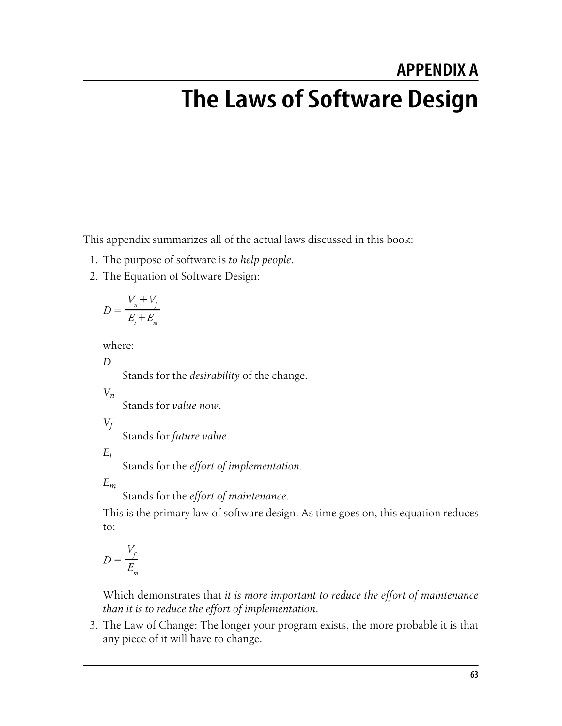## **APPENDIX A The Laws of Software Design**

This appendix summarizes all of the actual laws discussed in this book:

- 1. The purpose of software is to help people.
- 2. The Equation of Software Design:

$$
D = \frac{V_n + V_f}{E_i + E_m}
$$

where:

D

Stands for the desirability of the change.

 $V_n$ 

Stands for value now.

 $V_f$ 

Stands for future value.

 $E_i$ 

Stands for the effort of implementation.

 $E_m$ 

Stands for the effort of maintenance.

This is the primary law of software design. As time goes on, this equation reduces to:

$$
D = \frac{V_f}{E_m}
$$

Which demonstrates that it is more important to reduce the effort of maintenance than it is to reduce the effort of implementation.

3. The Law of Change: The longer your program exists, the more probable it is that any piece of it will have to change.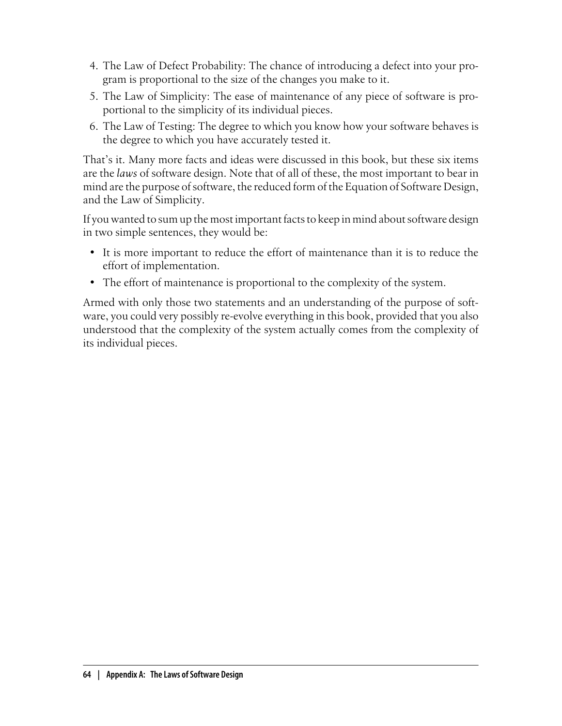- 4. The Law of Defect Probability: The chance of introducing a defect into your program is proportional to the size of the changes you make to it.
- 5. The Law of Simplicity: The ease of maintenance of any piece of software is proportional to the simplicity of its individual pieces.
- 6. The Law of Testing: The degree to which you know how your software behaves is the degree to which you have accurately tested it.

That's it. Many more facts and ideas were discussed in this book, but these six items are the laws of software design. Note that of all of these, the most important to bear in mind are the purpose of software, the reduced form of the Equation of Software Design, and the Law of Simplicity.

If you wanted to sum up the most important facts to keep in mind about software design in two simple sentences, they would be:

- It is more important to reduce the effort of maintenance than it is to reduce the effort of implementation.
- The effort of maintenance is proportional to the complexity of the system.

Armed with only those two statements and an understanding of the purpose of software, you could very possibly re-evolve everything in this book, provided that you also understood that the complexity of the system actually comes from the complexity of its individual pieces.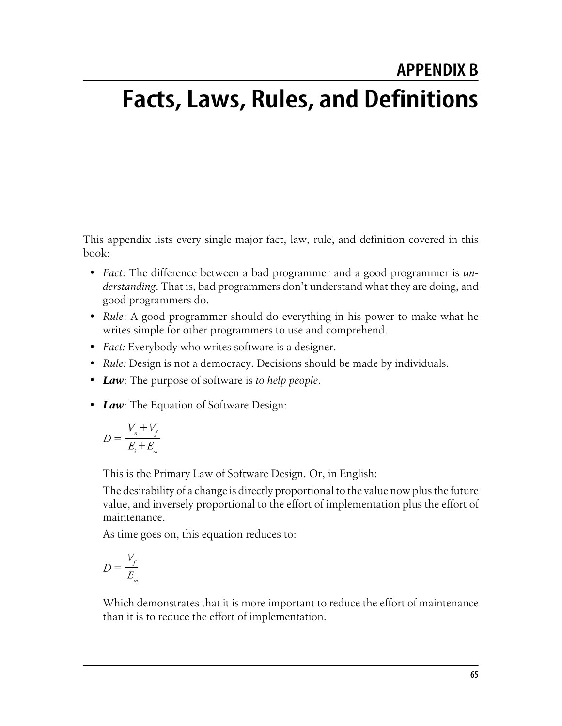## **APPENDIX B Facts, Laws, Rules, and Definitions**

This appendix lists every single major fact, law, rule, and definition covered in this book:

- Fact: The difference between a bad programmer and a good programmer is understanding. That is, bad programmers don't understand what they are doing, and good programmers do.
- Rule: A good programmer should do everything in his power to make what he writes simple for other programmers to use and comprehend.
- Fact: Everybody who writes software is a designer.
- Rule: Design is not a democracy. Decisions should be made by individuals.
- Law: The purpose of software is to help people.
- Law: The Equation of Software Design:

$$
D = \frac{V_n + V_f}{E_i + E_m}
$$

This is the Primary Law of Software Design. Or, in English:

The desirability of a change is directly proportional to the value now plus the future value, and inversely proportional to the effort of implementation plus the effort of maintenance.

As time goes on, this equation reduces to:

$$
D = \frac{V_f}{E_m}
$$

Which demonstrates that it is more important to reduce the effort of maintenance than it is to reduce the effort of implementation.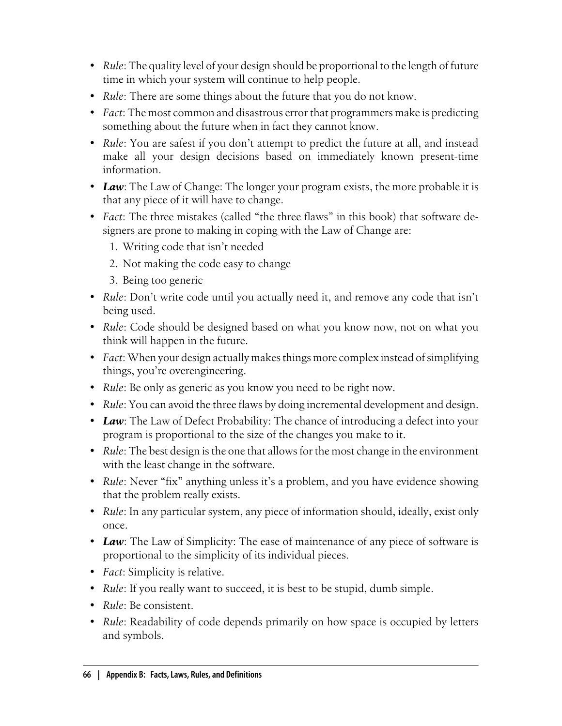- Rule: The quality level of your design should be proportional to the length of future time in which your system will continue to help people.
- Rule: There are some things about the future that you do not know.
- Fact: The most common and disastrous error that programmers make is predicting something about the future when in fact they cannot know.
- Rule: You are safest if you don't attempt to predict the future at all, and instead make all your design decisions based on immediately known present-time information.
- Law: The Law of Change: The longer your program exists, the more probable it is that any piece of it will have to change.
- Fact: The three mistakes (called "the three flaws" in this book) that software designers are prone to making in coping with the Law of Change are:
	- 1. Writing code that isn't needed
	- 2. Not making the code easy to change
	- 3. Being too generic
- Rule: Don't write code until you actually need it, and remove any code that isn't being used.
- Rule: Code should be designed based on what you know now, not on what you think will happen in the future.
- Fact: When your design actually makes things more complex instead of simplifying things, you're overengineering.
- Rule: Be only as generic as you know you need to be right now.
- Rule: You can avoid the three flaws by doing incremental development and design.
- Law: The Law of Defect Probability: The chance of introducing a defect into your program is proportional to the size of the changes you make to it.
- Rule: The best design is the one that allows for the most change in the environment with the least change in the software.
- Rule: Never "fix" anything unless it's a problem, and you have evidence showing that the problem really exists.
- Rule: In any particular system, any piece of information should, ideally, exist only once.
- Law: The Law of Simplicity: The ease of maintenance of any piece of software is proportional to the simplicity of its individual pieces.
- Fact: Simplicity is relative.
- Rule: If you really want to succeed, it is best to be stupid, dumb simple.
- Rule: Be consistent.
- Rule: Readability of code depends primarily on how space is occupied by letters and symbols.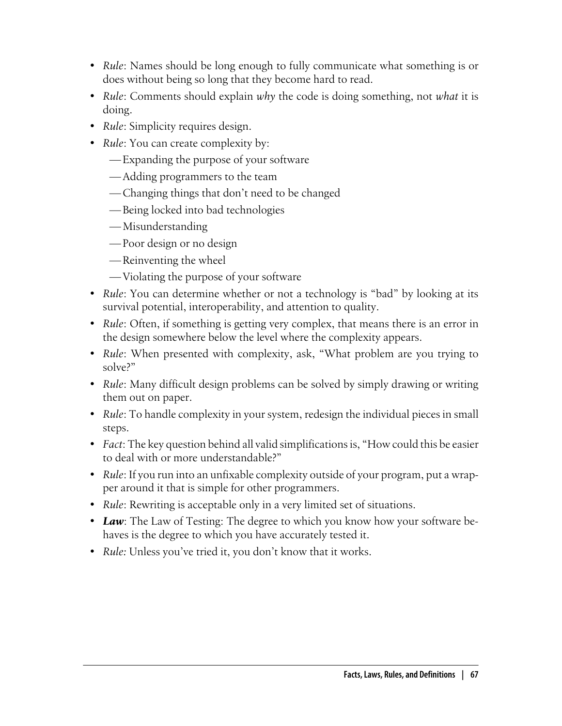- Rule: Names should be long enough to fully communicate what something is or does without being so long that they become hard to read.
- Rule: Comments should explain why the code is doing something, not what it is doing.
- Rule: Simplicity requires design.
- Rule: You can create complexity by:
	- Expanding the purpose of your software
	- Adding programmers to the team
	- Changing things that don't need to be changed
	- Being locked into bad technologies
	- Misunderstanding
	- Poor design or no design
	- Reinventing the wheel
	- Violating the purpose of your software
- Rule: You can determine whether or not a technology is "bad" by looking at its survival potential, interoperability, and attention to quality.
- Rule: Often, if something is getting very complex, that means there is an error in the design somewhere below the level where the complexity appears.
- Rule: When presented with complexity, ask, "What problem are you trying to solve?"
- Rule: Many difficult design problems can be solved by simply drawing or writing them out on paper.
- Rule: To handle complexity in your system, redesign the individual pieces in small steps.
- Fact: The key question behind all valid simplifications is, "How could this be easier to deal with or more understandable?"
- Rule: If you run into an unfixable complexity outside of your program, put a wrapper around it that is simple for other programmers.
- Rule: Rewriting is acceptable only in a very limited set of situations.
- Law: The Law of Testing: The degree to which you know how your software behaves is the degree to which you have accurately tested it.
- Rule: Unless you've tried it, you don't know that it works.